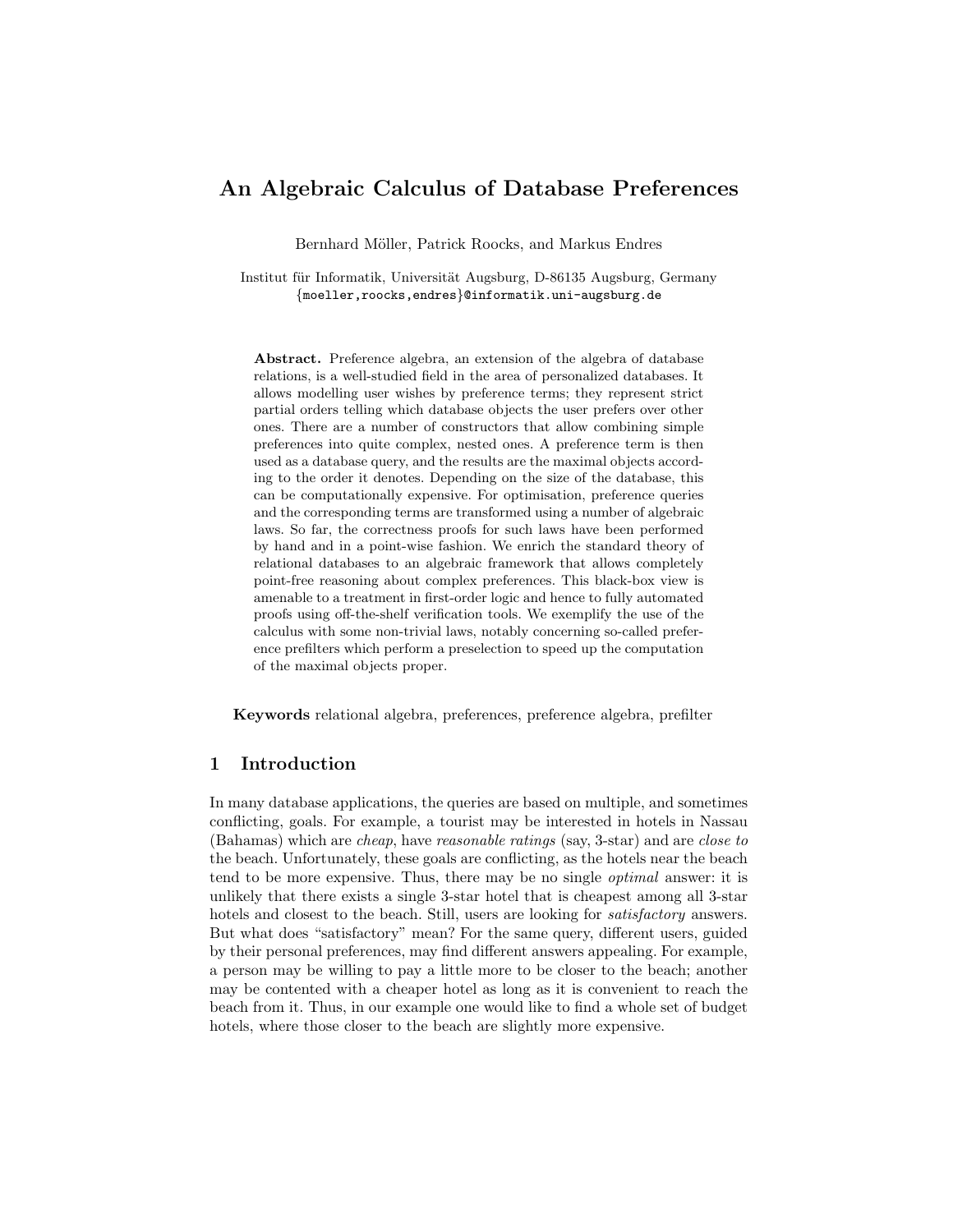# An Algebraic Calculus of Database Preferences

Bernhard Möller, Patrick Roocks, and Markus Endres

Institut für Informatik, Universität Augsburg, D-86135 Augsburg, Germany {moeller,roocks,endres}@informatik.uni-augsburg.de

Abstract. Preference algebra, an extension of the algebra of database relations, is a well-studied field in the area of personalized databases. It allows modelling user wishes by preference terms; they represent strict partial orders telling which database objects the user prefers over other ones. There are a number of constructors that allow combining simple preferences into quite complex, nested ones. A preference term is then used as a database query, and the results are the maximal objects according to the order it denotes. Depending on the size of the database, this can be computationally expensive. For optimisation, preference queries and the corresponding terms are transformed using a number of algebraic laws. So far, the correctness proofs for such laws have been performed by hand and in a point-wise fashion. We enrich the standard theory of relational databases to an algebraic framework that allows completely point-free reasoning about complex preferences. This black-box view is amenable to a treatment in first-order logic and hence to fully automated proofs using off-the-shelf verification tools. We exemplify the use of the calculus with some non-trivial laws, notably concerning so-called preference prefilters which perform a preselection to speed up the computation of the maximal objects proper.

Keywords relational algebra, preferences, preference algebra, prefilter

## 1 Introduction

In many database applications, the queries are based on multiple, and sometimes conflicting, goals. For example, a tourist may be interested in hotels in Nassau (Bahamas) which are cheap, have reasonable ratings (say, 3-star) and are close to the beach. Unfortunately, these goals are conflicting, as the hotels near the beach tend to be more expensive. Thus, there may be no single optimal answer: it is unlikely that there exists a single 3-star hotel that is cheapest among all 3-star hotels and closest to the beach. Still, users are looking for *satisfactory* answers. But what does "satisfactory" mean? For the same query, different users, guided by their personal preferences, may find different answers appealing. For example, a person may be willing to pay a little more to be closer to the beach; another may be contented with a cheaper hotel as long as it is convenient to reach the beach from it. Thus, in our example one would like to find a whole set of budget hotels, where those closer to the beach are slightly more expensive.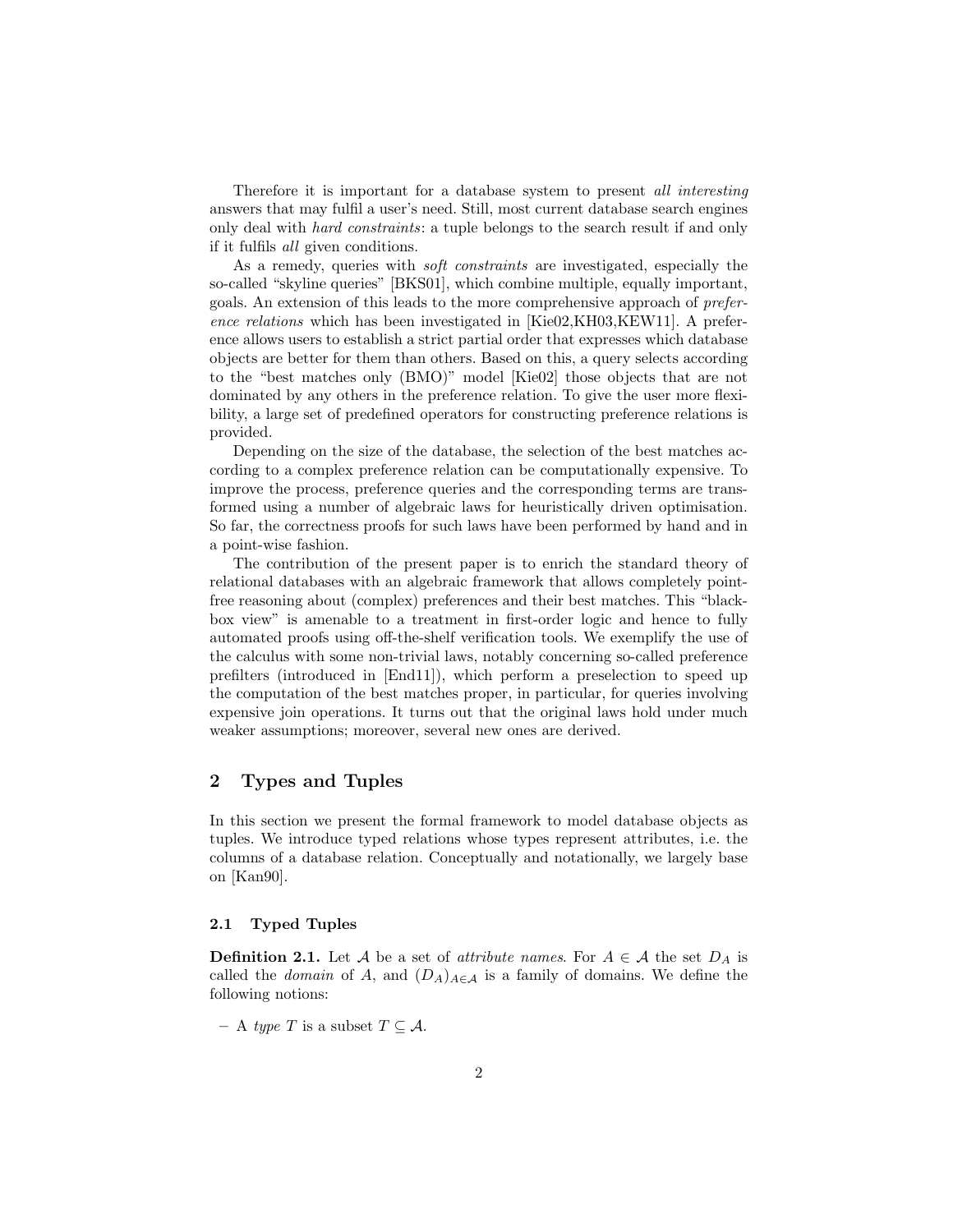Therefore it is important for a database system to present all interesting answers that may fulfil a user's need. Still, most current database search engines only deal with hard constraints: a tuple belongs to the search result if and only if it fulfils all given conditions.

As a remedy, queries with *soft constraints* are investigated, especially the so-called "skyline queries" [BKS01], which combine multiple, equally important, goals. An extension of this leads to the more comprehensive approach of preference relations which has been investigated in [Kie02,KH03,KEW11]. A preference allows users to establish a strict partial order that expresses which database objects are better for them than others. Based on this, a query selects according to the "best matches only (BMO)" model [Kie02] those objects that are not dominated by any others in the preference relation. To give the user more flexibility, a large set of predefined operators for constructing preference relations is provided.

Depending on the size of the database, the selection of the best matches according to a complex preference relation can be computationally expensive. To improve the process, preference queries and the corresponding terms are transformed using a number of algebraic laws for heuristically driven optimisation. So far, the correctness proofs for such laws have been performed by hand and in a point-wise fashion.

The contribution of the present paper is to enrich the standard theory of relational databases with an algebraic framework that allows completely pointfree reasoning about (complex) preferences and their best matches. This "blackbox view" is amenable to a treatment in first-order logic and hence to fully automated proofs using off-the-shelf verification tools. We exemplify the use of the calculus with some non-trivial laws, notably concerning so-called preference prefilters (introduced in [End11]), which perform a preselection to speed up the computation of the best matches proper, in particular, for queries involving expensive join operations. It turns out that the original laws hold under much weaker assumptions; moreover, several new ones are derived.

## 2 Types and Tuples

In this section we present the formal framework to model database objects as tuples. We introduce typed relations whose types represent attributes, i.e. the columns of a database relation. Conceptually and notationally, we largely base on [Kan90].

### 2.1 Typed Tuples

**Definition 2.1.** Let A be a set of *attribute names*. For  $A \in \mathcal{A}$  the set  $D_A$  is called the *domain* of A, and  $(D_A)_{A \in \mathcal{A}}$  is a family of domains. We define the following notions:

– A type T is a subset  $T \subseteq A$ .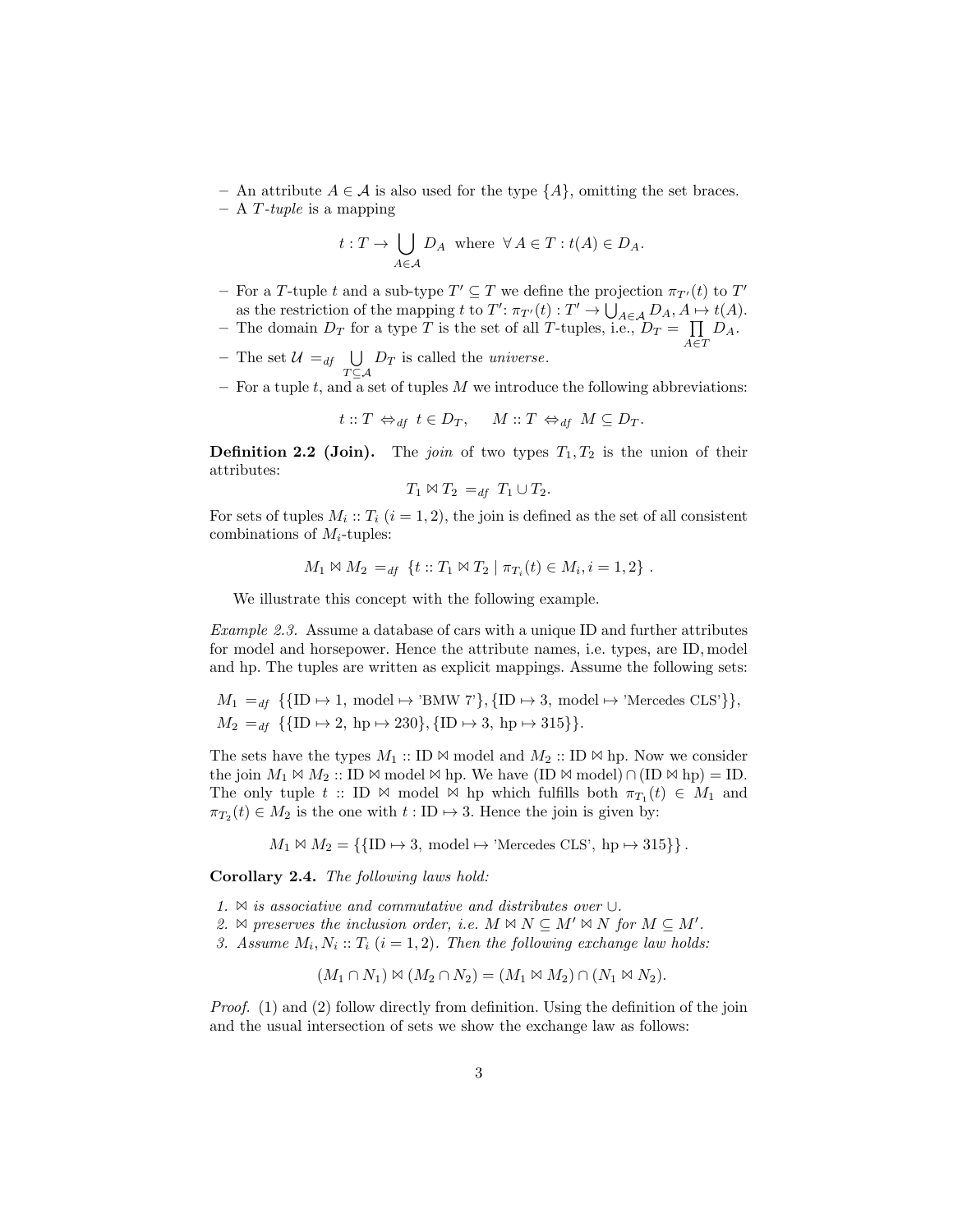- An attribute  $A \in \mathcal{A}$  is also used for the type  $\{A\}$ , omitting the set braces.
- $A T$ -tuple is a mapping

$$
t: T \to \bigcup_{A \in \mathcal{A}} D_A
$$
 where  $\forall A \in T: t(A) \in D_A$ .

- For a T-tuple t and a sub-type  $T' \subseteq T$  we define the projection  $\pi_{T'}(t)$  to  $T'$ as the restriction of the mapping t to  $T' : \pi_{T'}(t) : T' \to \bigcup_{A \in \mathcal{A}} D_A, A \mapsto t(A)$ .
- The domain  $D_T$  for a type T is the set of all T-tuples, i.e.,  $D_T = \prod$  $\prod_{A\in T} D_A.$
- The set  $\mathcal{U} =_{df} \bigcup_{T \subseteq \mathcal{A}} D_T$  is called the *universe*.
- For a tuple t, and a set of tuples M we introduce the following abbreviations:

 $t: T \Leftrightarrow_{df} t \in D_T$ ,  $M: T \Leftrightarrow_{df} M \subseteq D_T$ .

**Definition 2.2 (Join).** The join of two types  $T_1, T_2$  is the union of their attributes:

$$
T_1 \bowtie T_2 =_{df} T_1 \cup T_2.
$$

For sets of tuples  $M_i$ ::  $T_i$   $(i = 1, 2)$ , the join is defined as the set of all consistent combinations of  $M_i$ -tuples:

$$
M_1 \bowtie M_2 =_{df} \{t : T_1 \bowtie T_2 \mid \pi_{T_i}(t) \in M_i, i = 1, 2\}.
$$

We illustrate this concept with the following example.

Example 2.3. Assume a database of cars with a unique ID and further attributes for model and horsepower. Hence the attribute names, i.e. types, are ID, model and hp. The tuples are written as explicit mappings. Assume the following sets:

$$
M_1 =_{df} \{ \{ \text{ID} \mapsto 1, \text{ model} \mapsto \text{'BMW 7'} \}, \{ \text{ID} \mapsto 3, \text{ model} \mapsto \text{'Mercedes CLS'} \},
$$
  

$$
M_2 =_{df} \{ \{ \text{ID} \mapsto 2, \text{ hp} \mapsto 230 \}, \{ \text{ID} \mapsto 3, \text{ hp} \mapsto 315 \} \}.
$$

The sets have the types  $M_1$  :: ID  $\bowtie$  model and  $M_2$  :: ID  $\bowtie$  hp. Now we consider the join  $M_1 \bowtie M_2$  :: ID  $\bowtie$  model  $\bowtie$  hp. We have (ID  $\bowtie$  model)  $\cap$  (ID  $\bowtie$  hp) = ID. The only tuple t :: ID  $\bowtie$  model  $\bowtie$  hp which fulfills both  $\pi_{T_1}(t) \in M_1$  and  $\pi_{T_2}(t) \in M_2$  is the one with  $t : ID \mapsto 3$ . Hence the join is given by:

 $M_1 \bowtie M_2 = \{\{\text{ID} \mapsto 3, \text{ model} \mapsto \text{'Mercedes CLS'}, \text{ hp} \mapsto 315\}\}.$ 

Corollary 2.4. The following laws hold:

- 1. ✶ is associative and commutative and distributes over ∪.
- 2.  $\bowtie$  preserves the inclusion order, i.e.  $M \bowtie N \subseteq M' \bowtie N$  for  $M \subseteq M'$ .
- 3. Assume  $M_i, N_i :: T_i$   $(i = 1, 2)$ . Then the following exchange law holds:

$$
(M_1 \cap N_1) \bowtie (M_2 \cap N_2) = (M_1 \bowtie M_2) \cap (N_1 \bowtie N_2).
$$

Proof. (1) and (2) follow directly from definition. Using the definition of the join and the usual intersection of sets we show the exchange law as follows: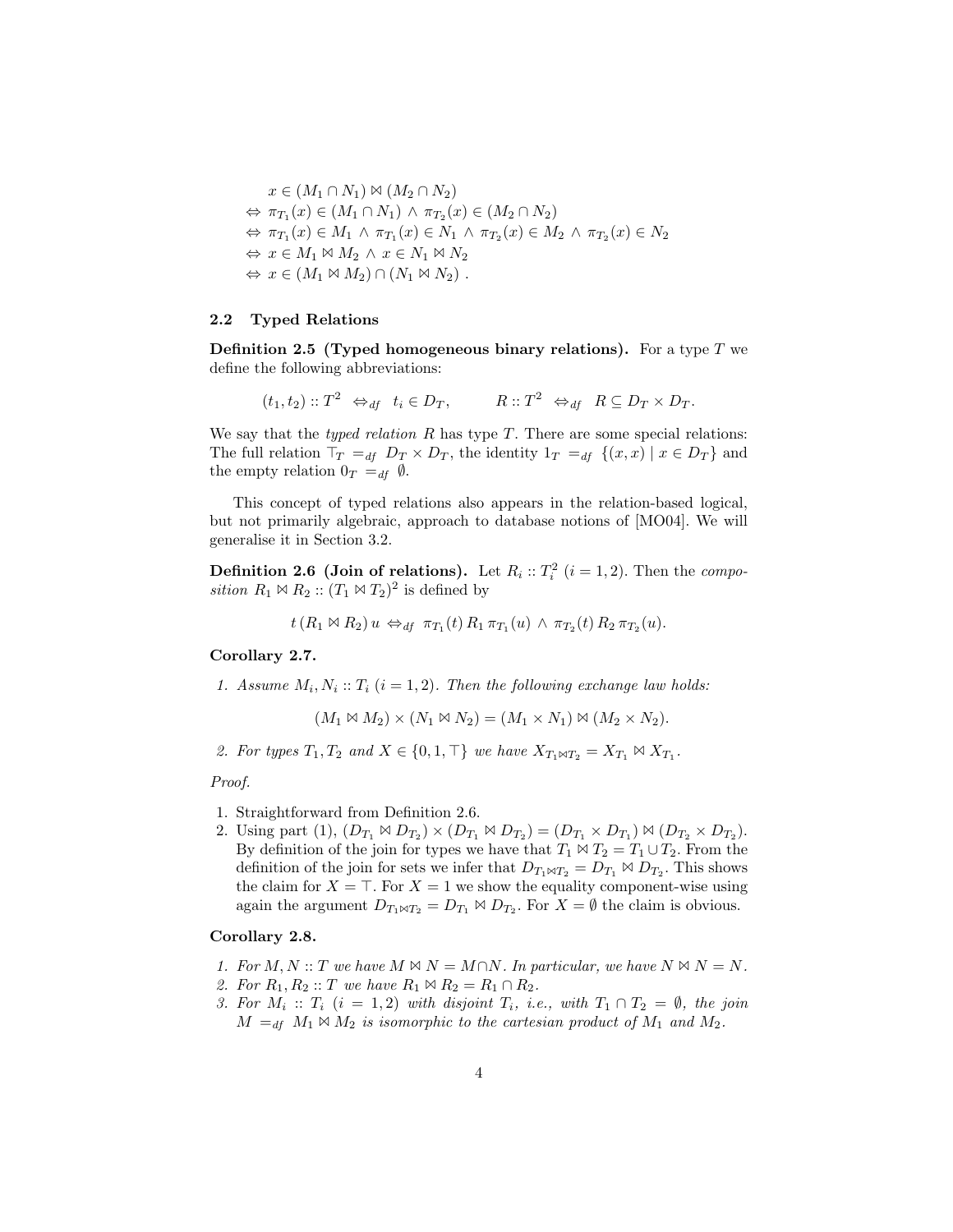$$
x \in (M_1 \cap N_1) \bowtie (M_2 \cap N_2)
$$
  
\n
$$
\Leftrightarrow \pi_{T_1}(x) \in (M_1 \cap N_1) \land \pi_{T_2}(x) \in (M_2 \cap N_2)
$$
  
\n
$$
\Leftrightarrow \pi_{T_1}(x) \in M_1 \land \pi_{T_1}(x) \in N_1 \land \pi_{T_2}(x) \in M_2 \land \pi_{T_2}(x) \in N_2
$$
  
\n
$$
\Leftrightarrow x \in M_1 \bowtie M_2 \land x \in N_1 \bowtie N_2
$$
  
\n
$$
\Leftrightarrow x \in (M_1 \bowtie M_2) \cap (N_1 \bowtie N_2).
$$

### 2.2 Typed Relations

**Definition 2.5 (Typed homogeneous binary relations).** For a type  $T$  we define the following abbreviations:

$$
(t_1, t_2) :: T^2 \Leftrightarrow_{df} t_i \in D_T, \qquad R :: T^2 \Leftrightarrow_{df} R \subseteq D_T \times D_T.
$$

We say that the *typed relation*  $R$  has type  $T$ . There are some special relations: The full relation  $\top_T =_{df} D_T \times D_T$ , the identity  $1_T =_{df} \{(x, x) | x \in D_T\}$  and the empty relation  $0_T =_{df} \emptyset$ .

This concept of typed relations also appears in the relation-based logical, but not primarily algebraic, approach to database notions of [MO04]. We will generalise it in Section 3.2.

**Definition 2.6 (Join of relations).** Let  $R_i$ :  $T_i^2$  ( $i = 1, 2$ ). Then the *compo*sition  $R_1 \bowtie R_2 :: (T_1 \bowtie T_2)^2$  is defined by

 $t(R_1 \boxtimes R_2) u \Leftrightarrow_{df} \pi_{T_1}(t) R_1 \pi_{T_1}(u) \wedge \pi_{T_2}(t) R_2 \pi_{T_2}(u).$ 

#### Corollary 2.7.

1. Assume  $M_i, N_i :: T_i$   $(i = 1, 2)$ . Then the following exchange law holds:

$$
(M_1 \bowtie M_2) \times (N_1 \bowtie N_2) = (M_1 \times N_1) \bowtie (M_2 \times N_2).
$$

2. For types  $T_1, T_2$  and  $X \in \{0, 1, \top\}$  we have  $X_{T_1 \bowtie T_2} = X_{T_1} \bowtie X_{T_1}$ .

Proof.

- 1. Straightforward from Definition 2.6.
- 2. Using part (1),  $(D_{T_1} \bowtie D_{T_2}) \times (D_{T_1} \bowtie D_{T_2}) = (D_{T_1} \times D_{T_1}) \bowtie (D_{T_2} \times D_{T_2}).$ By definition of the join for types we have that  $T_1 \bowtie T_2 = T_1 \cup T_2$ . From the definition of the join for sets we infer that  $D_{T_1 \bowtie T_2} = D_{T_1} \bowtie D_{T_2}$ . This shows the claim for  $X = \top$ . For  $X = 1$  we show the equality component-wise using again the argument  $D_{T_1 \bowtie T_2} = D_{T_1} \bowtie D_{T_2}$ . For  $X = \emptyset$  the claim is obvious.

### Corollary 2.8.

- 1. For  $M, N :: T$  we have  $M \bowtie N = M \cap N$ . In particular, we have  $N \bowtie N = N$ .
- 2. For  $R_1, R_2 :: T$  we have  $R_1 \bowtie R_2 = R_1 \cap R_2$ .
- 3. For  $M_i :: T_i$   $(i = 1, 2)$  with disjoint  $T_i$ , i.e., with  $T_1 \cap T_2 = \emptyset$ , the join  $M =_{df} M_1 \bowtie M_2$  is isomorphic to the cartesian product of  $M_1$  and  $M_2$ .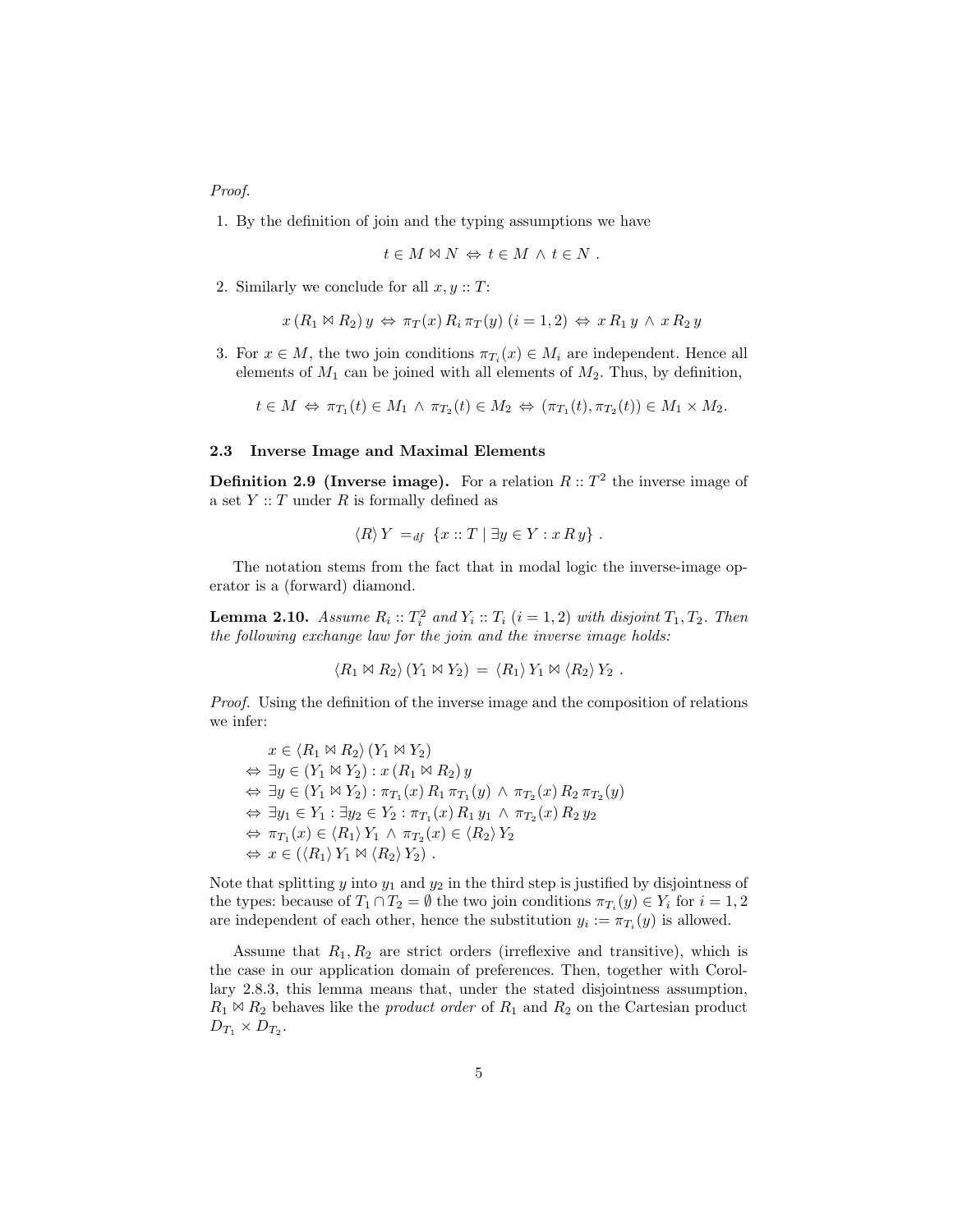Proof.

1. By the definition of join and the typing assumptions we have

$$
t \in M \bowtie N \Leftrightarrow t \in M \wedge t \in N .
$$

2. Similarly we conclude for all  $x, y :: T$ :

$$
x (R_1 \bowtie R_2) y \Leftrightarrow \pi_T(x) R_i \pi_T(y) (i = 1, 2) \Leftrightarrow x R_1 y \wedge x R_2 y
$$

3. For  $x \in M$ , the two join conditions  $\pi_{T_i}(x) \in M_i$  are independent. Hence all elements of  $M_1$  can be joined with all elements of  $M_2$ . Thus, by definition,

 $t \in M \Leftrightarrow \pi_{T_1}(t) \in M_1 \wedge \pi_{T_2}(t) \in M_2 \Leftrightarrow (\pi_{T_1}(t), \pi_{T_2}(t)) \in M_1 \times M_2.$ 

### 2.3 Inverse Image and Maximal Elements

**Definition 2.9 (Inverse image).** For a relation  $R : T^2$  the inverse image of a set  $Y: T$  under R is formally defined as

$$
\langle R \rangle Y =_{df} \{x :: T \mid \exists y \in Y : x \, R \, y\} \; .
$$

The notation stems from the fact that in modal logic the inverse-image operator is a (forward) diamond.

**Lemma 2.10.** Assume  $R_i$ ::  $T_i^2$  and  $Y_i$ ::  $T_i$   $(i = 1, 2)$  with disjoint  $T_1, T_2$ . Then the following exchange law for the join and the inverse image holds:

$$
\langle R_1 \boxtimes R_2 \rangle (Y_1 \boxtimes Y_2) = \langle R_1 \rangle Y_1 \boxtimes \langle R_2 \rangle Y_2.
$$

Proof. Using the definition of the inverse image and the composition of relations we infer:

$$
x \in \langle R_1 \bowtie R_2 \rangle (Y_1 \bowtie Y_2)
$$
  
\n
$$
\Leftrightarrow \exists y \in (Y_1 \bowtie Y_2) : x (R_1 \bowtie R_2) y
$$
  
\n
$$
\Leftrightarrow \exists y \in (Y_1 \bowtie Y_2) : \pi_{T_1}(x) R_1 \pi_{T_1}(y) \land \pi_{T_2}(x) R_2 \pi_{T_2}(y)
$$
  
\n
$$
\Leftrightarrow \exists y_1 \in Y_1 : \exists y_2 \in Y_2 : \pi_{T_1}(x) R_1 y_1 \land \pi_{T_2}(x) R_2 y_2
$$
  
\n
$$
\Leftrightarrow \pi_{T_1}(x) \in \langle R_1 \rangle Y_1 \land \pi_{T_2}(x) \in \langle R_2 \rangle Y_2
$$
  
\n
$$
\Leftrightarrow x \in (\langle R_1 \rangle Y_1 \bowtie \langle R_2 \rangle Y_2).
$$

Note that splitting  $y$  into  $y_1$  and  $y_2$  in the third step is justified by disjointness of the types: because of  $T_1 \cap T_2 = \emptyset$  the two join conditions  $\pi_{T_i}(y) \in Y_i$  for  $i = 1, 2$ are independent of each other, hence the substitution  $y_i := \pi_{T_i}(y)$  is allowed.

Assume that  $R_1, R_2$  are strict orders (irreflexive and transitive), which is the case in our application domain of preferences. Then, together with Corollary 2.8.3, this lemma means that, under the stated disjointness assumption,  $R_1 \bowtie R_2$  behaves like the *product order* of  $R_1$  and  $R_2$  on the Cartesian product  $D_{T_1} \times D_{T_2}$ .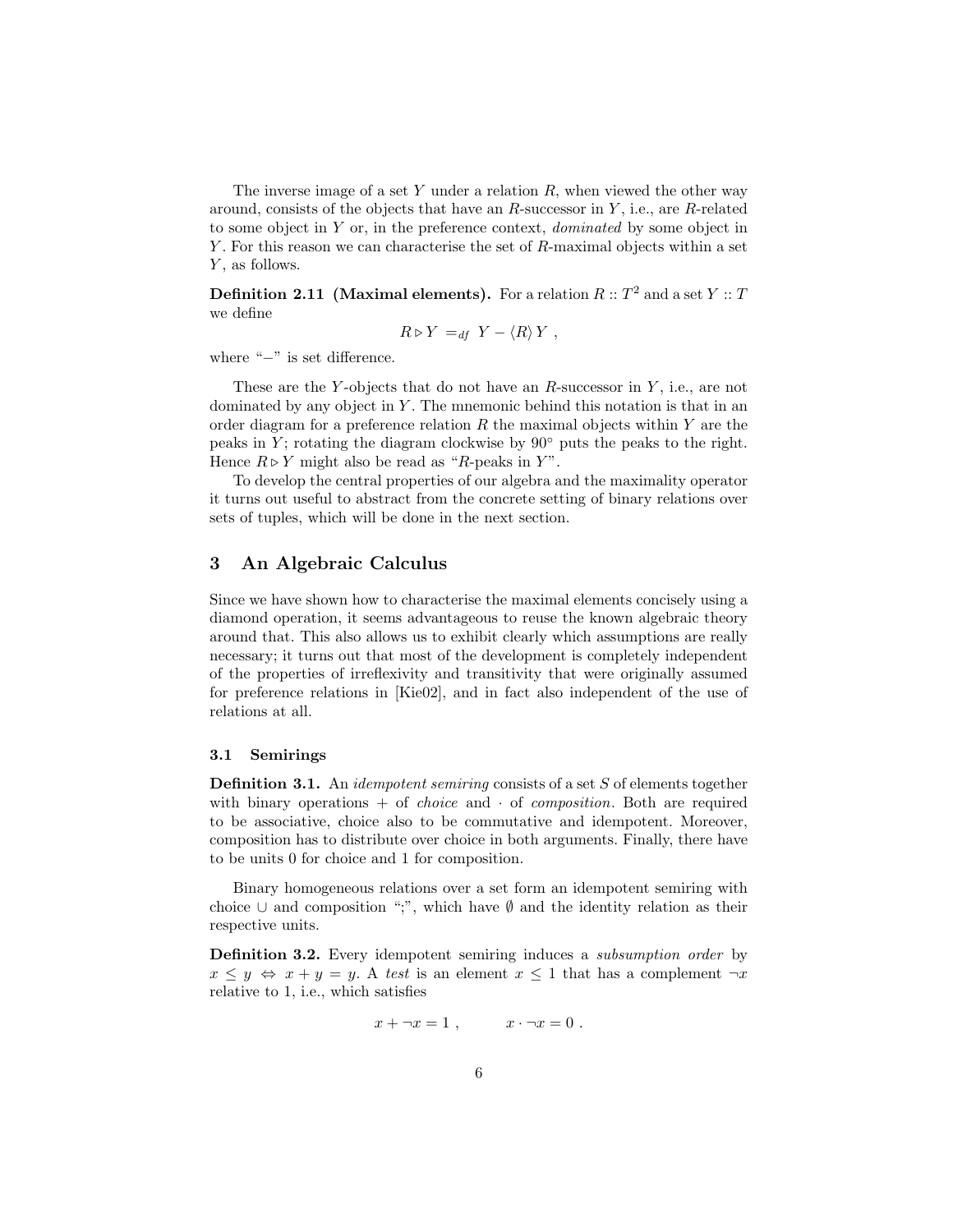The inverse image of a set Y under a relation  $R$ , when viewed the other way around, consists of the objects that have an  $R$ -successor in  $Y$ , i.e., are  $R$ -related to some object in Y or, in the preference context, dominated by some object in Y. For this reason we can characterise the set of R-maximal objects within a set  $Y$ , as follows.

**Definition 2.11 (Maximal elements).** For a relation  $R :: T^2$  and a set  $Y :: T$ we define

$$
R \triangleright Y =_{df} Y - \langle R \rangle Y ,
$$

where "−" is set difference.

These are the Y-objects that do not have an  $R$ -successor in  $Y$ , i.e., are not dominated by any object in  $Y$ . The mnemonic behind this notation is that in an order diagram for a preference relation  $R$  the maximal objects within  $Y$  are the peaks in Y; rotating the diagram clockwise by  $90°$  puts the peaks to the right. Hence  $R \triangleright Y$  might also be read as "R-peaks in Y".

To develop the central properties of our algebra and the maximality operator it turns out useful to abstract from the concrete setting of binary relations over sets of tuples, which will be done in the next section.

## 3 An Algebraic Calculus

Since we have shown how to characterise the maximal elements concisely using a diamond operation, it seems advantageous to reuse the known algebraic theory around that. This also allows us to exhibit clearly which assumptions are really necessary; it turns out that most of the development is completely independent of the properties of irreflexivity and transitivity that were originally assumed for preference relations in [Kie02], and in fact also independent of the use of relations at all.

### 3.1 Semirings

**Definition 3.1.** An *idempotent semiring* consists of a set  $S$  of elements together with binary operations  $+$  of *choice* and  $\cdot$  of *composition*. Both are required to be associative, choice also to be commutative and idempotent. Moreover, composition has to distribute over choice in both arguments. Finally, there have to be units 0 for choice and 1 for composition.

Binary homogeneous relations over a set form an idempotent semiring with choice ∪ and composition ";", which have ∅ and the identity relation as their respective units.

**Definition 3.2.** Every idempotent semiring induces a *subsumption order* by  $x \leq y \Leftrightarrow x + y = y$ . A test is an element  $x \leq 1$  that has a complement  $\neg x$ relative to 1, i.e., which satisfies

$$
x + \neg x = 1 , \qquad x \cdot \neg x = 0 .
$$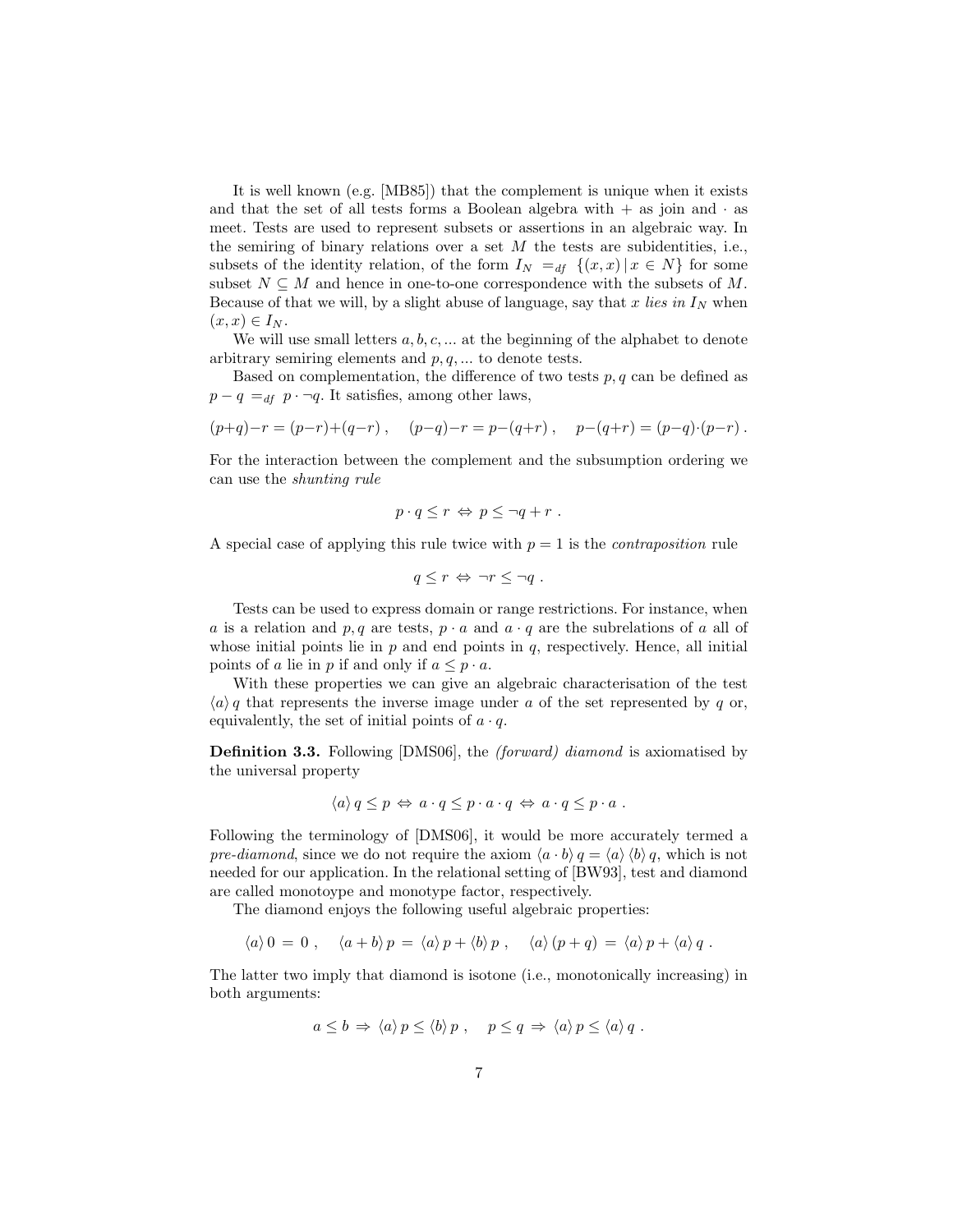It is well known (e.g. [MB85]) that the complement is unique when it exists and that the set of all tests forms a Boolean algebra with  $+$  as join and  $\cdot$  as meet. Tests are used to represent subsets or assertions in an algebraic way. In the semiring of binary relations over a set  $M$  the tests are subidentities, i.e., subsets of the identity relation, of the form  $I_N =_{df} \{(x, x) | x \in N\}$  for some subset  $N \subseteq M$  and hence in one-to-one correspondence with the subsets of M. Because of that we will, by a slight abuse of language, say that x lies in  $I<sub>N</sub>$  when  $(x, x) \in I_N$ .

We will use small letters  $a, b, c, \ldots$  at the beginning of the alphabet to denote arbitrary semiring elements and  $p, q, \ldots$  to denote tests.

Based on complementation, the difference of two tests  $p, q$  can be defined as  $p - q =_{df} p \cdot \neg q$ . It satisfies, among other laws,

$$
(p+q)-r = (p-r)+(q-r) , \quad (p-q)-r = p-(q+r) , \quad p-(q+r) = (p-q)\cdot (p-r) .
$$

For the interaction between the complement and the subsumption ordering we can use the shunting rule

$$
p\cdot q\leq r \, \Leftrightarrow \, p\leq \neg q+r \,\, .
$$

A special case of applying this rule twice with  $p = 1$  is the *contraposition* rule

$$
q\leq r \, \Leftrightarrow \, \neg r\leq \neg q \ .
$$

Tests can be used to express domain or range restrictions. For instance, when a is a relation and p, q are tests,  $p \cdot a$  and  $a \cdot q$  are the subrelations of a all of whose initial points lie in  $p$  and end points in  $q$ , respectively. Hence, all initial points of a lie in p if and only if  $a \leq p \cdot a$ .

With these properties we can give an algebraic characterisation of the test  $\langle a \rangle q$  that represents the inverse image under a of the set represented by q or, equivalently, the set of initial points of  $a \cdot q$ .

Definition 3.3. Following [DMS06], the (forward) diamond is axiomatised by the universal property

$$
\langle a \rangle q \leq p \Leftrightarrow a \cdot q \leq p \cdot a \cdot q \Leftrightarrow a \cdot q \leq p \cdot a .
$$

Following the terminology of [DMS06], it would be more accurately termed a pre-diamond, since we do not require the axiom  $\langle a \cdot b \rangle q = \langle a \rangle \langle b \rangle q$ , which is not needed for our application. In the relational setting of [BW93], test and diamond are called monotoype and monotype factor, respectively.

The diamond enjoys the following useful algebraic properties:

$$
\langle a \rangle 0 = 0 , \quad \langle a+b \rangle p = \langle a \rangle p + \langle b \rangle p , \quad \langle a \rangle (p+q) = \langle a \rangle p + \langle a \rangle q .
$$

The latter two imply that diamond is isotone (i.e., monotonically increasing) in both arguments:

$$
a \leq b \Rightarrow \langle a \rangle p \leq \langle b \rangle p
$$
,  $p \leq q \Rightarrow \langle a \rangle p \leq \langle a \rangle q$ .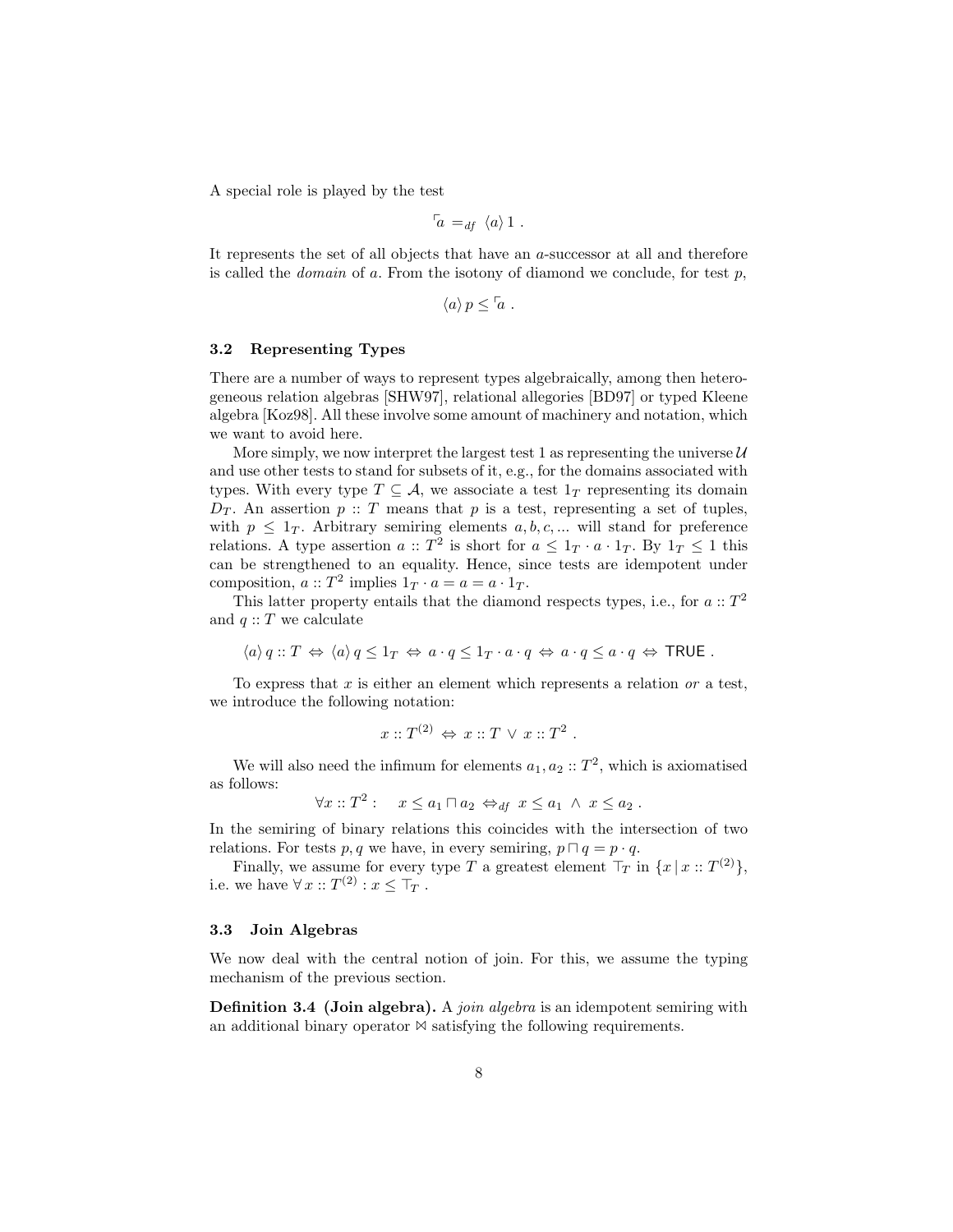A special role is played by the test

$$
\bar{a} =_{df} \langle a \rangle 1.
$$

It represents the set of all objects that have an a-successor at all and therefore is called the *domain* of  $a$ . From the isotony of diamond we conclude, for test  $p$ ,

$$
\langle a \rangle p \leq \overline{a} .
$$

### 3.2 Representing Types

There are a number of ways to represent types algebraically, among then heterogeneous relation algebras [SHW97], relational allegories [BD97] or typed Kleene algebra [Koz98]. All these involve some amount of machinery and notation, which we want to avoid here.

More simply, we now interpret the largest test 1 as representing the universe  $\mathcal{U}$ and use other tests to stand for subsets of it, e.g., for the domains associated with types. With every type  $T \subseteq A$ , we associate a test  $1_T$  representing its domain  $D_T$ . An assertion  $p :: T$  means that p is a test, representing a set of tuples, with  $p \leq 1$ . Arbitrary semiring elements  $a, b, c, ...$  will stand for preference relations. A type assertion  $a :: T^2$  is short for  $a \leq 1_T \cdot a \cdot 1_T$ . By  $1_T \leq 1$  this can be strengthened to an equality. Hence, since tests are idempotent under composition,  $a :: T^2$  implies  $1_T \cdot a = a - a \cdot 1_T$ .

This latter property entails that the diamond respects types, i.e., for  $a::T^2$ and  $q:: T$  we calculate

 $\langle a \rangle q :: T \Leftrightarrow \langle a \rangle q \leq 1_T \Leftrightarrow a \cdot q \leq 1_T \cdot a \cdot q \Leftrightarrow a \cdot q \leq a \cdot q \Leftrightarrow \text{TRUE}.$ 

To express that  $x$  is either an element which represents a relation  $\overline{or}$  a test, we introduce the following notation:

$$
x :: T^{(2)} \Leftrightarrow x :: T \vee x :: T^2 .
$$

We will also need the infimum for elements  $a_1, a_2 :: T^2$ , which is axiomatised as follows:

 $\forall x :: T^2 : x \leq a_1 \sqcap a_2 \Leftrightarrow_{df} x \leq a_1 \wedge x \leq a_2.$ 

In the semiring of binary relations this coincides with the intersection of two relations. For tests p, q we have, in every semiring,  $p \sqcap q = p \cdot q$ .

Finally, we assume for every type T a greatest element  $\top_T$  in  $\{x \mid x : T^{(2)}\},$ i.e. we have  $\forall x :: T^{(2)} : x \leq \top_T$ .

### 3.3 Join Algebras

We now deal with the central notion of join. For this, we assume the typing mechanism of the previous section.

Definition 3.4 (Join algebra). A *join algebra* is an idempotent semiring with an additional binary operator  $\bowtie$  satisfying the following requirements.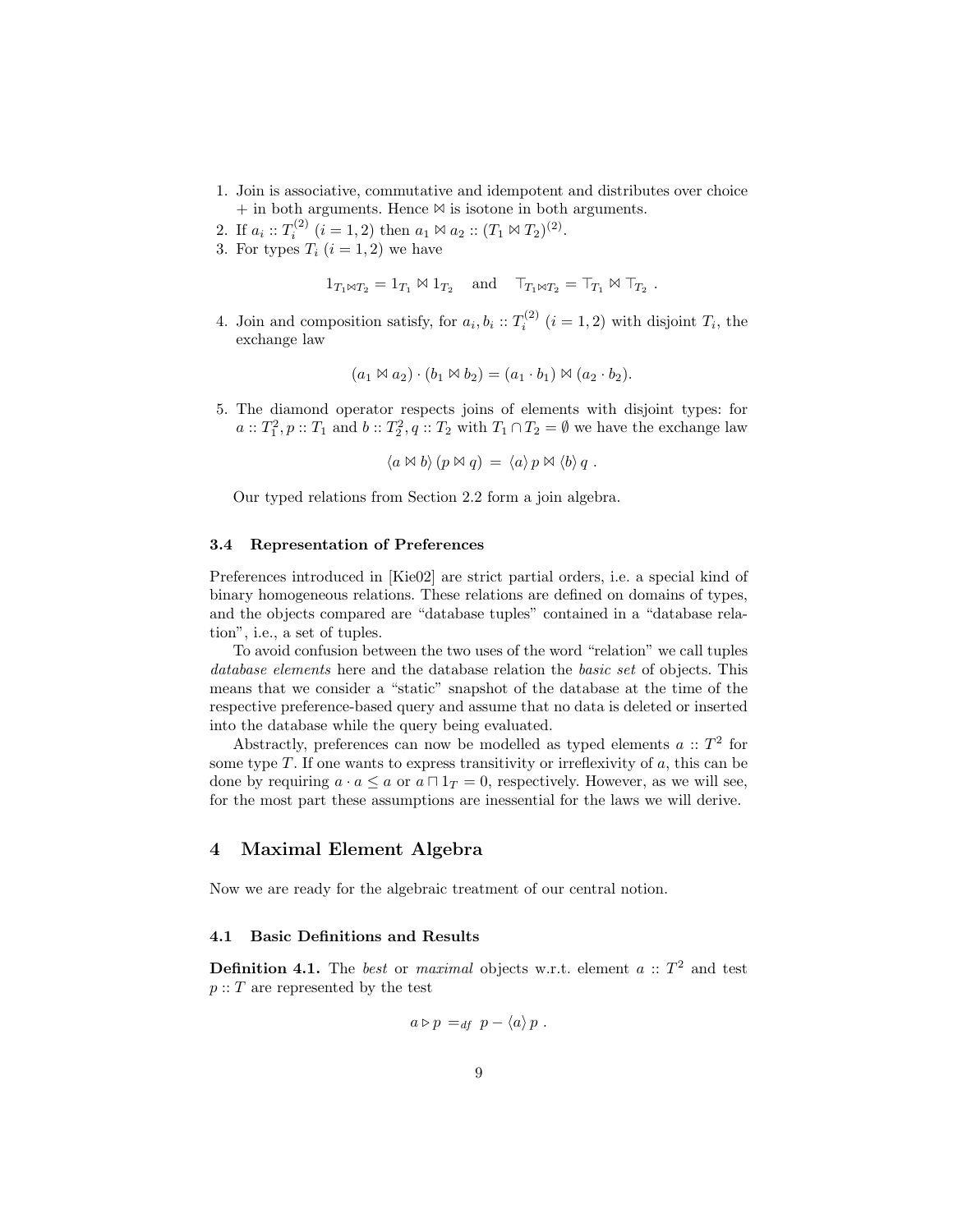- 1. Join is associative, commutative and idempotent and distributes over choice  $+$  in both arguments. Hence  $\bowtie$  is isotone in both arguments.
- 2. If  $a_i$ ::  $T_i^{(2)}$   $(i = 1, 2)$  then  $a_1 \bowtie a_2$ ::  $(T_1 \bowtie T_2)^{(2)}$ .
- 3. For types  $T_i$   $(i = 1, 2)$  we have

$$
1_{T_1 \bowtie T_2} = 1_{T_1} \bowtie 1_{T_2}
$$
 and  $T_{T_1 \bowtie T_2} = T_{T_1} \bowtie T_{T_2}$ .

4. Join and composition satisfy, for  $a_i, b_i :: T_i^{(2)}$   $(i = 1, 2)$  with disjoint  $T_i$ , the exchange law

$$
(a_1 \boxtimes a_2) \cdot (b_1 \boxtimes b_2) = (a_1 \cdot b_1) \boxtimes (a_2 \cdot b_2).
$$

5. The diamond operator respects joins of elements with disjoint types: for  $a :: T_1^2, p :: T_1$  and  $b :: T_2^2, q :: T_2$  with  $T_1 \cap T_2 = \emptyset$  we have the exchange law

$$
\langle a \boxtimes b \rangle (p \boxtimes q) = \langle a \rangle p \boxtimes \langle b \rangle q.
$$

Our typed relations from Section 2.2 form a join algebra.

### 3.4 Representation of Preferences

Preferences introduced in [Kie02] are strict partial orders, i.e. a special kind of binary homogeneous relations. These relations are defined on domains of types, and the objects compared are "database tuples" contained in a "database relation", i.e., a set of tuples.

To avoid confusion between the two uses of the word "relation" we call tuples database elements here and the database relation the basic set of objects. This means that we consider a "static" snapshot of the database at the time of the respective preference-based query and assume that no data is deleted or inserted into the database while the query being evaluated.

Abstractly, preferences can now be modelled as typed elements  $a :: T^2$  for some type  $T$ . If one wants to express transitivity or irreflexivity of  $a$ , this can be done by requiring  $a \cdot a \le a$  or  $a \cap 1_T = 0$ , respectively. However, as we will see, for the most part these assumptions are inessential for the laws we will derive.

## 4 Maximal Element Algebra

Now we are ready for the algebraic treatment of our central notion.

### 4.1 Basic Definitions and Results

**Definition 4.1.** The *best* or *maximal* objects w.r.t. element  $a :: T^2$  and test  $p: T$  are represented by the test

$$
a \triangleright p =_{df} p - \langle a \rangle p .
$$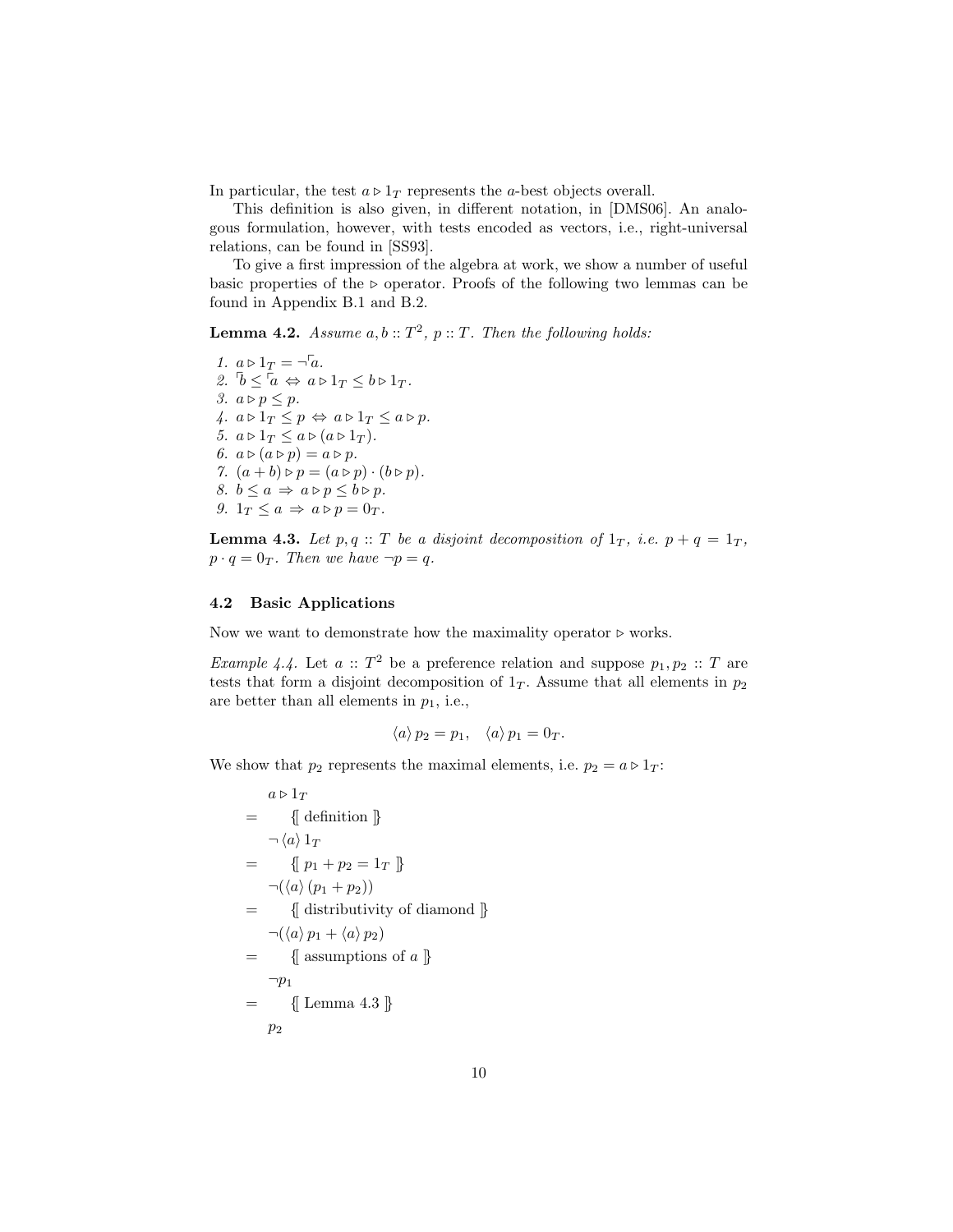In particular, the test  $a \triangleright 1_T$  represents the a-best objects overall.

This definition is also given, in different notation, in [DMS06]. An analogous formulation, however, with tests encoded as vectors, i.e., right-universal relations, can be found in [SS93].

To give a first impression of the algebra at work, we show a number of useful basic properties of the  $\triangleright$  operator. Proofs of the following two lemmas can be found in Appendix B.1 and B.2.

**Lemma 4.2.** Assume  $a, b :: T^2$ ,  $p :: T$ . Then the following holds:

1.  $a \triangleright 1_T = \neg^r a$ . 2.  $\bar{b} \leq \bar{a} \Leftrightarrow a \triangleright 1_T \leq b \triangleright 1_T$ . 3.  $a \triangleright p \leq p$ .  $\downarrow$ .  $a \triangleright 1_T \leq p \Leftrightarrow a \triangleright 1_T \leq a \triangleright p.$ 5.  $a \triangleright 1_T \leq a \triangleright (a \triangleright 1_T)$ . 6.  $a \triangleright (a \triangleright p) = a \triangleright p$ . 7.  $(a + b) \triangleright p = (a \triangleright p) \cdot (b \triangleright p)$ . 8.  $b \leq a \Rightarrow a \triangleright p \leq b \triangleright p$ . 9.  $1_T \leq a \Rightarrow a \triangleright p = 0_T$ .

**Lemma 4.3.** Let  $p, q :: T$  be a disjoint decomposition of  $1_T$ , i.e.  $p + q = 1_T$ ,  $p \cdot q = 0_T$ . Then we have  $\neg p = q$ .

### 4.2 Basic Applications

Now we want to demonstrate how the maximality operator  $\triangleright$  works.

*Example 4.4.* Let  $a :: T^2$  be a preference relation and suppose  $p_1, p_2 :: T$  are tests that form a disjoint decomposition of  $1<sub>T</sub>$ . Assume that all elements in  $p<sub>2</sub>$ are better than all elements in  $p_1$ , i.e.,

$$
\langle a \rangle p_2 = p_1, \quad \langle a \rangle p_1 = 0_T.
$$

We show that  $p_2$  represents the maximal elements, i.e.  $p_2 = a \triangleright 1_T$ :

$$
a \triangleright 1_T
$$
\n
$$
= \{ \det(p_1, p_2) = 1 \} \}
$$
\n
$$
= \{ (a) \ 1_T
$$
\n
$$
= \{ (a) \ (p_1 + p_2) \}
$$
\n
$$
= \{ \det(p_1 + p_2) \}
$$
\n
$$
= \{ \det(p_1 + p_2) \}
$$
\n
$$
= \{ (a) \ p_1 + \langle a \rangle \ p_2 \}
$$
\n
$$
= \{ \text{ assumptions of } a \}
$$
\n
$$
= \{ \text{Lemma 4.3 } \}
$$
\n
$$
p_2
$$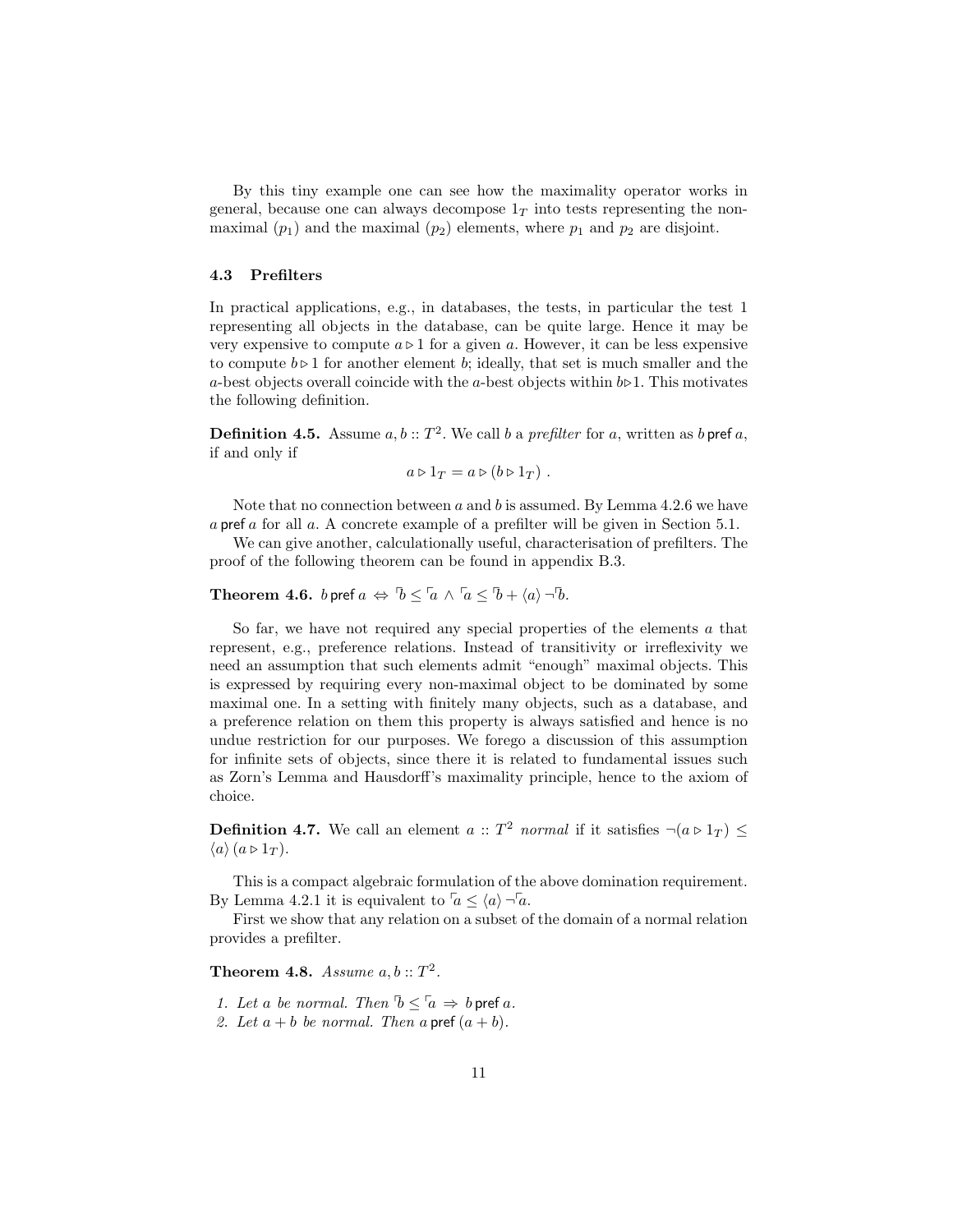By this tiny example one can see how the maximality operator works in general, because one can always decompose  $1<sub>T</sub>$  into tests representing the nonmaximal  $(p_1)$  and the maximal  $(p_2)$  elements, where  $p_1$  and  $p_2$  are disjoint.

### 4.3 Prefilters

In practical applications, e.g., in databases, the tests, in particular the test 1 representing all objects in the database, can be quite large. Hence it may be very expensive to compute  $a \triangleright 1$  for a given a. However, it can be less expensive to compute  $b \triangleright 1$  for another element b; ideally, that set is much smaller and the a-best objects overall coincide with the a-best objects within  $b\triangleright 1$ . This motivates the following definition.

**Definition 4.5.** Assume  $a, b :: T^2$ . We call b a prefilter for a, written as b pref a, if and only if

$$
a \triangleright 1_T = a \triangleright (b \triangleright 1_T) .
$$

Note that no connection between  $a$  and  $b$  is assumed. By Lemma 4.2.6 we have a pref a for all a. A concrete example of a prefilter will be given in Section 5.1.

We can give another, calculationally useful, characterisation of prefilters. The proof of the following theorem can be found in appendix B.3.

## **Theorem 4.6.** b pref  $a \Leftrightarrow \overline{b} \leq \overline{a} \wedge \overline{a} \leq \overline{b} + \langle a \rangle - \overline{b}$ .

So far, we have not required any special properties of the elements a that represent, e.g., preference relations. Instead of transitivity or irreflexivity we need an assumption that such elements admit "enough" maximal objects. This is expressed by requiring every non-maximal object to be dominated by some maximal one. In a setting with finitely many objects, such as a database, and a preference relation on them this property is always satisfied and hence is no undue restriction for our purposes. We forego a discussion of this assumption for infinite sets of objects, since there it is related to fundamental issues such as Zorn's Lemma and Hausdorff's maximality principle, hence to the axiom of choice.

**Definition 4.7.** We call an element  $a :: T^2$  normal if it satisfies  $\neg(a \triangleright 1_T) \leq$  $\langle a \rangle (a \triangleright 1_T ).$ 

This is a compact algebraic formulation of the above domination requirement. By Lemma 4.2.1 it is equivalent to  $a < \langle a \rangle \neg a$ .

First we show that any relation on a subset of the domain of a normal relation provides a prefilter.

## **Theorem 4.8.** Assume  $a, b :: T^2$ .

1. Let a be normal. Then  $\overline{b} < \overline{a} \Rightarrow b$  pref a.

2. Let  $a + b$  be normal. Then a pref  $(a + b)$ .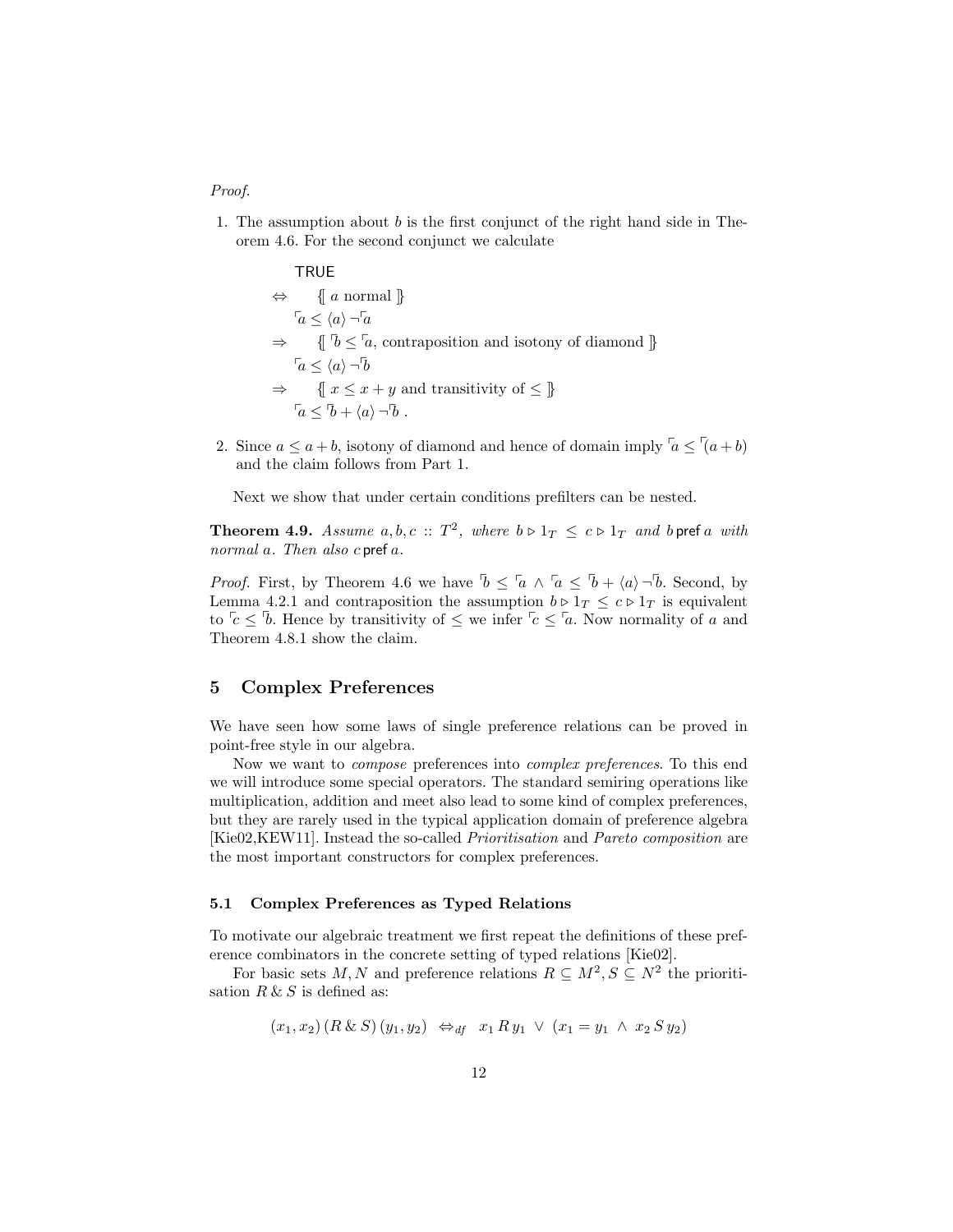### Proof.

1. The assumption about  $b$  is the first conjunct of the right hand side in Theorem 4.6. For the second conjunct we calculate

**TRUE**  $\Leftrightarrow \quad \{a \text{ normal }\}$  $\overline{a} < \langle a \rangle \neg \overline{a}$  $\Rightarrow \quad \{\lceil \overline{b} \leq \overline{a}, \text{ contraposition and isotony of diamond } \}$  $\overline{a} \leq \langle a \rangle \neg \overline{b}$  $\Rightarrow$  {[  $x \leq x + y$  and transitivity of  $\leq$  ]}  $\bar{a} \leq \bar{b} + \langle a \rangle \bar{b}$ .

2. Since  $a \leq a + b$ , isotony of diamond and hence of domain imply  $a \leq (a + b)$ and the claim follows from Part 1.

Next we show that under certain conditions prefilters can be nested.

**Theorem 4.9.** Assume  $a, b, c :: T^2$ , where  $b \triangleright 1_T \leq c \triangleright 1_T$  and b pref a with normal a. Then also c pref a.

*Proof.* First, by Theorem 4.6 we have  $\overline{b} \leq \overline{a} \wedge \overline{a} \leq \overline{b} + \langle a \rangle - \overline{b}$ . Second, by Lemma 4.2.1 and contraposition the assumption  $b \triangleright 1_T \leq c \triangleright 1_T$  is equivalent to  $c \leq b$ . Hence by transitivity of  $\leq$  we infer  $c \leq a$ . Now normality of a and Theorem 4.8.1 show the claim.

## 5 Complex Preferences

We have seen how some laws of single preference relations can be proved in point-free style in our algebra.

Now we want to compose preferences into complex preferences. To this end we will introduce some special operators. The standard semiring operations like multiplication, addition and meet also lead to some kind of complex preferences, but they are rarely used in the typical application domain of preference algebra [Kie02,KEW11]. Instead the so-called Prioritisation and Pareto composition are the most important constructors for complex preferences.

## 5.1 Complex Preferences as Typed Relations

To motivate our algebraic treatment we first repeat the definitions of these preference combinators in the concrete setting of typed relations [Kie02].

For basic sets M, N and preference relations  $R \subseteq M^2, S \subseteq N^2$  the prioritisation  $R \& S$  is defined as:

$$
(x_1, x_2) (R \& S) (y_1, y_2) \Leftrightarrow_{df} x_1 R y_1 \lor (x_1 = y_1 \land x_2 S y_2)
$$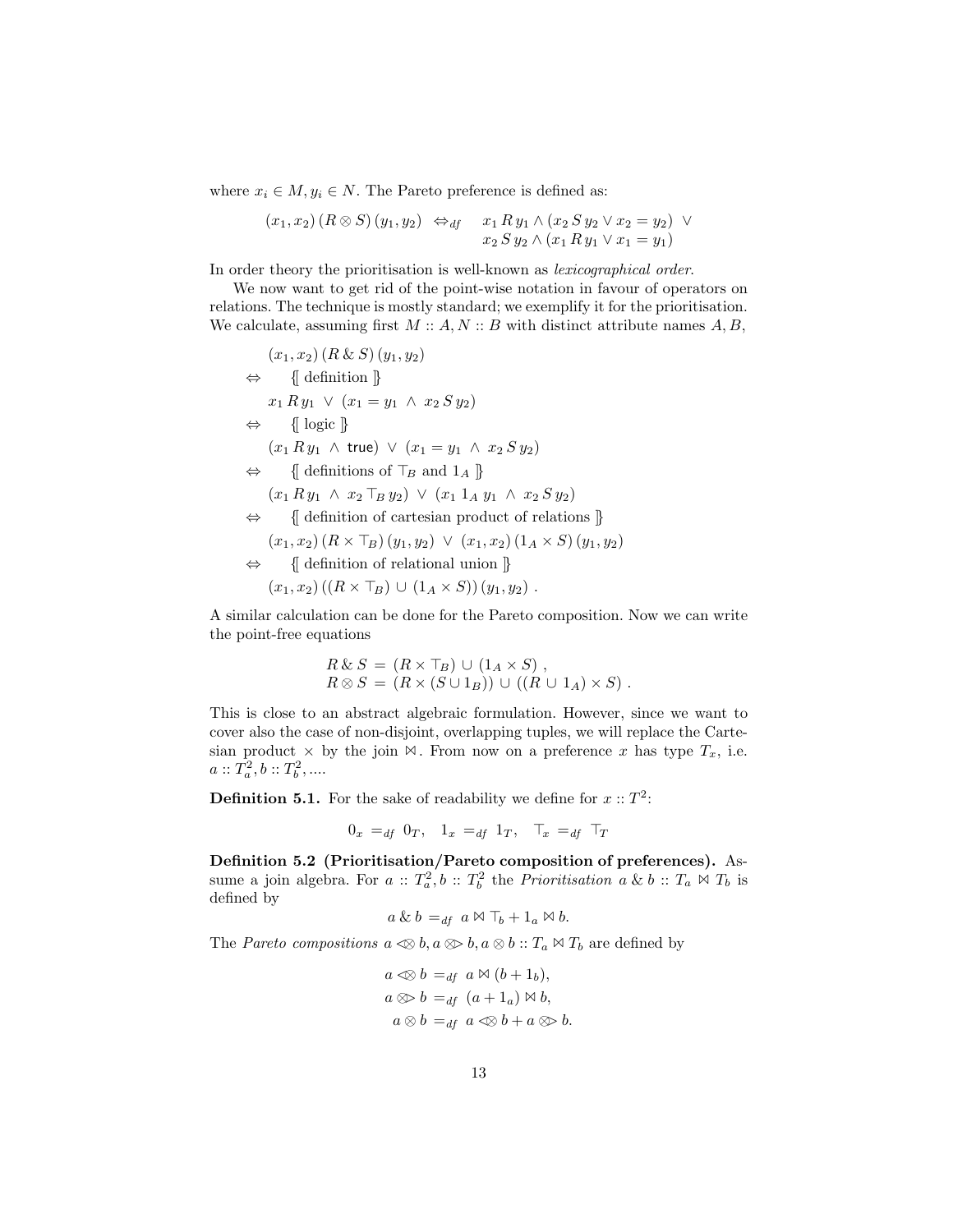where  $x_i \in M$ ,  $y_i \in N$ . The Pareto preference is defined as:

$$
(x_1, x_2) (R \otimes S) (y_1, y_2) \Leftrightarrow_{df} x_1 R y_1 \wedge (x_2 S y_2 \vee x_2 = y_2) \vee x_2 S y_2 \wedge (x_1 R y_1 \vee x_1 = y_1)
$$

In order theory the prioritisation is well-known as *lexicographical order*.

We now want to get rid of the point-wise notation in favour of operators on relations. The technique is mostly standard; we exemplify it for the prioritisation. We calculate, assuming first  $M :: A, N :: B$  with distinct attribute names  $A, B$ ,

$$
(x_1, x_2) (R \& S) (y_1, y_2)
$$
\n
$$
\Leftrightarrow \{ \text{definition } \}
$$
\n
$$
x_1 R y_1 \lor (x_1 = y_1 \land x_2 S y_2)
$$
\n
$$
\Leftrightarrow \{ \text{logic } \}
$$
\n
$$
(x_1 R y_1 \land \text{true}) \lor (x_1 = y_1 \land x_2 S y_2)
$$
\n
$$
\Leftrightarrow \{ \text{definitions of } \top_B \text{ and } 1_A \}
$$
\n
$$
(x_1 R y_1 \land x_2 \top_B y_2) \lor (x_1 1_A y_1 \land x_2 S y_2)
$$
\n
$$
\Leftrightarrow \{ \text{definition of cartesian product of relations } \}
$$
\n
$$
(x_1, x_2) (R \times \top_B) (y_1, y_2) \lor (x_1, x_2) (1_A \times S) (y_1, y_2)
$$
\n
$$
\Leftrightarrow \{ \text{definition of relational union } \}
$$
\n
$$
(x_1, x_2) ((R \times \top_B) \cup (1_A \times S)) (y_1, y_2).
$$

A similar calculation can be done for the Pareto composition. Now we can write the point-free equations

$$
R \& S = (R \times \top_B) \cup (1_A \times S) ,
$$
  
\n
$$
R \otimes S = (R \times (S \cup 1_B)) \cup ((R \cup 1_A) \times S) .
$$

This is close to an abstract algebraic formulation. However, since we want to cover also the case of non-disjoint, overlapping tuples, we will replace the Cartesian product  $\times$  by the join  $\mathbb{M}$ . From now on a preference x has type  $T_x$ , i.e.  $a :: T_a^2, b :: T_b^2, ....$ 

**Definition 5.1.** For the sake of readability we define for  $x :: T^2$ :

$$
0_x =_{df} 0_T, \quad 1_x =_{df} 1_T, \quad \top_x =_{df} \top_T
$$

Definition 5.2 (Prioritisation/Pareto composition of preferences). Assume a join algebra. For  $a :: T_a^2$ ,  $b :: T_b^2$  the *Prioritisation*  $a \& b :: T_a \bowtie T_b$  is defined by

$$
a \& b =_{df} a \bowtie \top_b + 1_a \bowtie b.
$$

The Pareto compositions  $a \otimes b$ ,  $a \otimes b$ ,  $a \otimes b$  ::  $T_a \otimes T_b$  are defined by

$$
a \otimes b =_{df} a \otimes (b + 1_b),
$$
  
\n
$$
a \otimes b =_{df} (a + 1_a) \otimes b,
$$
  
\n
$$
a \otimes b =_{df} a \otimes b + a \otimes b.
$$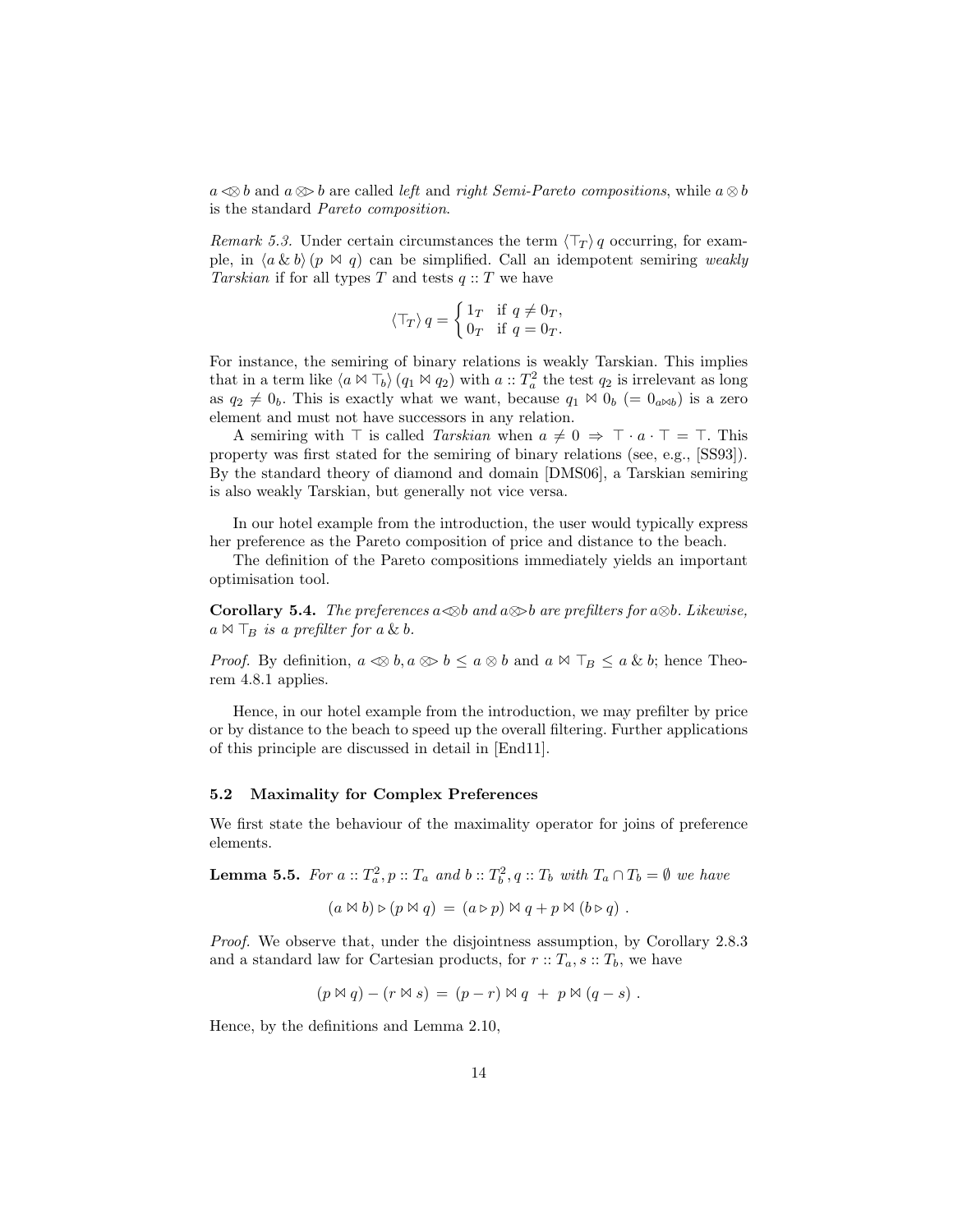a  $\ll$ b and a  $\gg$ b are called *left* and *right Semi-Pareto compositions*, while a  $\otimes$ b is the standard Pareto composition.

Remark 5.3. Under certain circumstances the term  $\langle \top_T \rangle$  q occurring, for example, in  $\langle a \& b \rangle (p \Join q)$  can be simplified. Call an idempotent semiring weakly Tarskian if for all types T and tests  $q$ : T we have

$$
\langle \top_T \rangle q = \begin{cases} 1_T & \text{if } q \neq 0_T, \\ 0_T & \text{if } q = 0_T. \end{cases}
$$

For instance, the semiring of binary relations is weakly Tarskian. This implies that in a term like  $\langle a \Join \top_b \rangle (q_1 \Join q_2)$  with  $a :: T_a^2$  the test  $q_2$  is irrelevant as long as  $q_2 \neq 0_b$ . This is exactly what we want, because  $q_1 \Join 0_b (= 0_{a \Join b})$  is a zero element and must not have successors in any relation.

A semiring with  $\top$  is called Tarskian when  $a \neq 0 \Rightarrow \top \cdot a \cdot \top = \top$ . This property was first stated for the semiring of binary relations (see, e.g., [SS93]). By the standard theory of diamond and domain [DMS06], a Tarskian semiring is also weakly Tarskian, but generally not vice versa.

In our hotel example from the introduction, the user would typically express her preference as the Pareto composition of price and distance to the beach.

The definition of the Pareto compositions immediately yields an important optimisation tool.

Corollary 5.4. The preferences  $a \ll b$  and  $a \gg b$  are prefilters for  $a \otimes b$ . Likewise,  $a \bowtie \top_B$  is a prefilter for a & b.

*Proof.* By definition,  $a \otimes b$ ,  $a \otimes b \leq a \otimes b$  and  $a \bowtie \top_B \leq a \& b$ ; hence Theorem 4.8.1 applies.

Hence, in our hotel example from the introduction, we may prefilter by price or by distance to the beach to speed up the overall filtering. Further applications of this principle are discussed in detail in [End11].

### 5.2 Maximality for Complex Preferences

We first state the behaviour of the maximality operator for joins of preference elements.

**Lemma 5.5.** For  $a :: T_a^2, p :: T_a$  and  $b :: T_b^2, q :: T_b$  with  $T_a \cap T_b = \emptyset$  we have

$$
(a \boxtimes b) \triangleright (p \boxtimes q) = (a \triangleright p) \boxtimes q + p \boxtimes (b \triangleright q).
$$

Proof. We observe that, under the disjointness assumption, by Corollary 2.8.3 and a standard law for Cartesian products, for  $r :: T_a$ ,  $s :: T_b$ , we have

$$
(p \boxtimes q) - (r \boxtimes s) = (p - r) \boxtimes q + p \boxtimes (q - s).
$$

Hence, by the definitions and Lemma 2.10,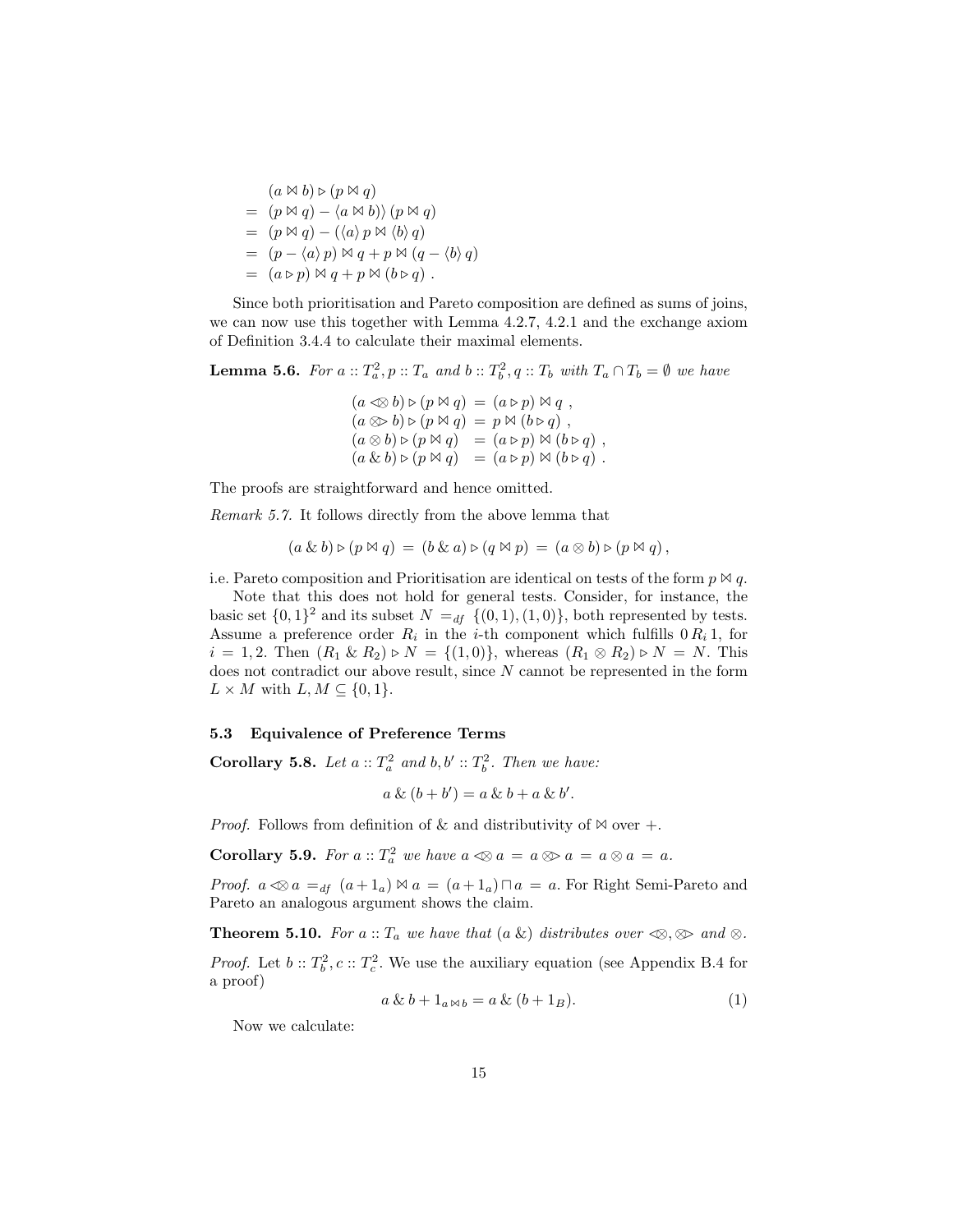$$
(a \boxtimes b) \triangleright (p \boxtimes q)
$$
  
=  $(p \boxtimes q) - \langle a \boxtimes b \rangle \rangle (p \boxtimes q)$   
=  $(p \boxtimes q) - (\langle a \rangle p \boxtimes \langle b \rangle q)$   
=  $(p - \langle a \rangle p) \boxtimes q + p \boxtimes (q - \langle b \rangle q)$   
=  $(a \triangleright p) \boxtimes q + p \boxtimes (b \triangleright q)$ .

Since both prioritisation and Pareto composition are defined as sums of joins, we can now use this together with Lemma 4.2.7, 4.2.1 and the exchange axiom of Definition 3.4.4 to calculate their maximal elements.

**Lemma 5.6.** For  $a :: T_a^2, p :: T_a$  and  $b :: T_b^2, q :: T_b$  with  $T_a \cap T_b = \emptyset$  we have

 $(a \otimes b) \triangleright (p \bowtie q) = (a \triangleright p) \bowtie q$ ,  $(a \otimes b) \triangleright (p \boxtimes q) = p \boxtimes (b \triangleright q)$ ,  $(a \otimes b) \triangleright (p \boxtimes q) = (a \triangleright p) \boxtimes (b \triangleright q)$ ,  $(a \& b) \triangleright (p \Join q) = (a \triangleright p) \Join (b \triangleright q)$ .

The proofs are straightforward and hence omitted.

Remark 5.7. It follows directly from the above lemma that

$$
(a \& b) \triangleright (p \bowtie q) = (b \& a) \triangleright (q \bowtie p) = (a \otimes b) \triangleright (p \bowtie q),
$$

i.e. Pareto composition and Prioritisation are identical on tests of the form  $p \bowtie q$ .

Note that this does not hold for general tests. Consider, for instance, the basic set  $\{0,1\}^2$  and its subset  $N =_{df} \{(0,1), (1,0)\}$ , both represented by tests. Assume a preference order  $R_i$  in the *i*-th component which fulfills  $0 R_i 1$ , for  $i = 1, 2$ . Then  $(R_1 \& R_2) \& N = \{(1, 0)\}\$ , whereas  $(R_1 \otimes R_2) \& N = N$ . This does not contradict our above result, since N cannot be represented in the form  $L \times M$  with  $L, M \subseteq \{0, 1\}.$ 

### 5.3 Equivalence of Preference Terms

**Corollary 5.8.** Let  $a :: T_a^2$  and  $b, b' :: T_b^2$ . Then we have:

$$
a \& (b+b') = a \& b + a \& b'.
$$

*Proof.* Follows from definition of & and distributivity of  $\bowtie$  over +.

**Corollary 5.9.** For  $a :: T_a^2$  we have  $a \otimes a = a \otimes a = a \otimes a = a$ .

*Proof.*  $a \otimes a =_{df} (a + 1_a) \otimes a = (a + 1_a) \cap a = a$ . For Right Semi-Pareto and Pareto an analogous argument shows the claim.

**Theorem 5.10.** For a ::  $T_a$  we have that  $(a \&)$  distributes over  $\otimes$ ,  $\otimes$  and  $\otimes$ .

*Proof.* Let  $b$  ::  $T_b^2$ ,  $c$  ::  $T_c^2$ . We use the auxiliary equation (see Appendix B.4 for a proof)

$$
a \& b + 1_{a \bowtie b} = a \& (b + 1_B). \tag{1}
$$

Now we calculate: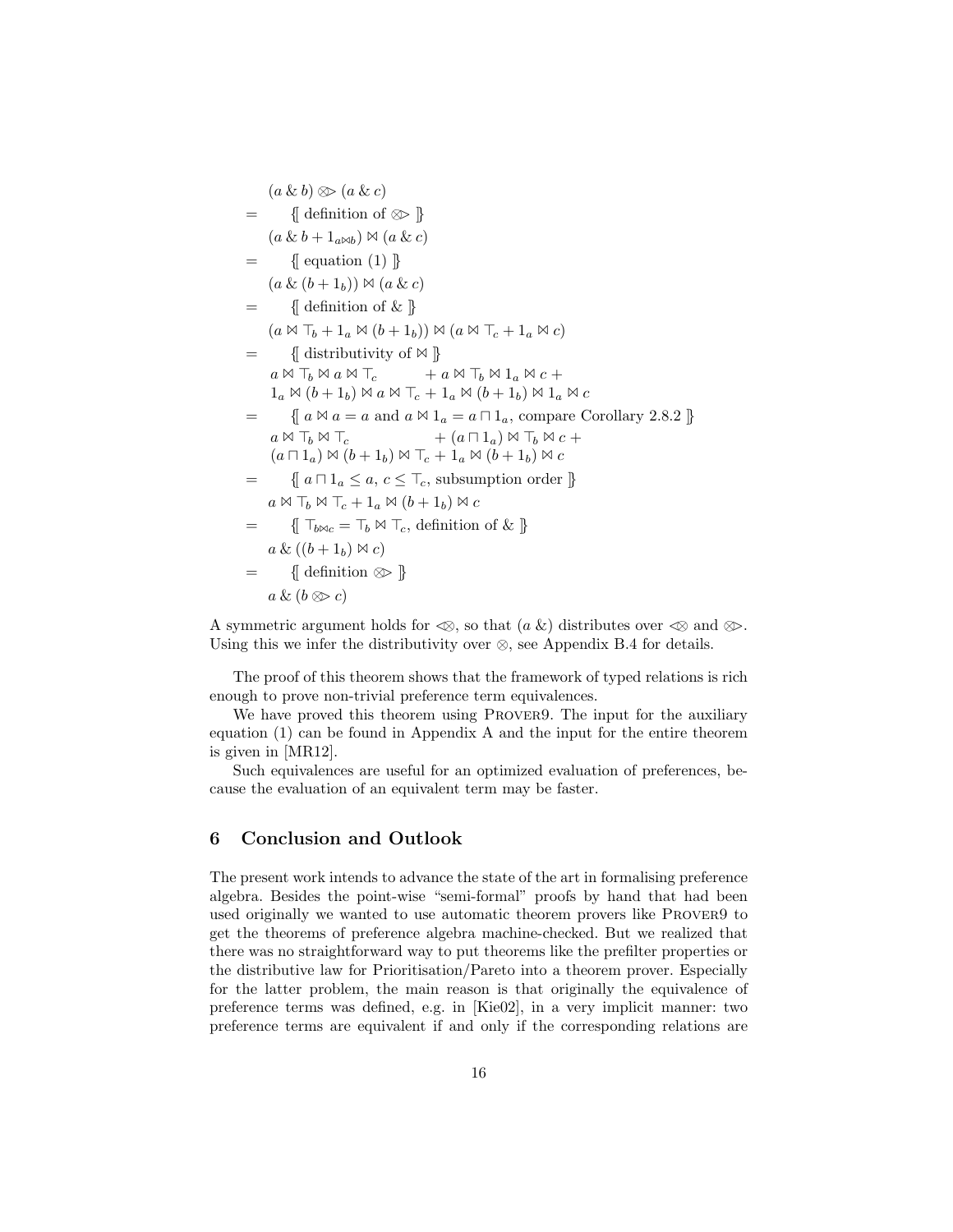$(a \& b) \otimes (a \& c)$  $=$  { $\{$  definition of  $\otimes$  }  $(a \& b + 1_{a \Join b}) \Join (a \& c)$  $=$  {[ equation (1) }}  $(a \& (b+1<sub>b</sub>)) \Join (a \& c)$  $=$  {[ definition of & ]}  $(a \bowtie \top_b + 1_a \bowtie (b + 1_b)) \bowtie (a \bowtie \top_c + 1_a \bowtie c)$  $=$  {[ distributivity of  $\bowtie$  }}  $a \bowtie \top_b \bowtie a \bowtie \top_c$   $+ a \bowtie \top_b \bowtie 1_a \bowtie c +$  $1_a \boxtimes (b + 1_b) \boxtimes a \boxtimes \top_c + 1_a \boxtimes (b + 1_b) \boxtimes 1_a \boxtimes c$  $=$  {[  $a \Join a = a$  and  $a \Join 1_a = a \sqcap 1_a$ , compare Corollary 2.8.2 }}  $a \bowtie \top_b \bowtie \top_c$   $+ (a \sqcap 1_a) \bowtie \top_b \bowtie c +$  $(a \sqcap 1_a) \bowtie (b + 1_b) \bowtie \top_c + 1_a \bowtie (b + 1_b) \bowtie c$  $= \{ [ a \sqcap 1_a \leq a, c \leq \top_c, \text{subsumption order} \}$  $a \bowtie \top_b \bowtie \top_c + 1_a \bowtie (b + 1_b) \bowtie c$ =  $\{\!\!\{\top_{b\bowtie_c} = \top_b \bowtie \top_c, \text{definition of } \& \}\!\!\}$  $a \& ((b+1<sub>b</sub>) \bowtie c)$  $=$  { $\{$  definition  $\otimes$  }  $a \& (b \otimes c)$ 

A symmetric argument holds for  $\otimes$ , so that  $(a \&)$  distributes over  $\otimes$  and  $\otimes$ . Using this we infer the distributivity over  $\otimes$ , see Appendix B.4 for details.

The proof of this theorem shows that the framework of typed relations is rich enough to prove non-trivial preference term equivalences.

We have proved this theorem using PROVER9. The input for the auxiliary equation (1) can be found in Appendix A and the input for the entire theorem is given in [MR12].

Such equivalences are useful for an optimized evaluation of preferences, because the evaluation of an equivalent term may be faster.

## 6 Conclusion and Outlook

The present work intends to advance the state of the art in formalising preference algebra. Besides the point-wise "semi-formal" proofs by hand that had been used originally we wanted to use automatic theorem provers like PROVER9 to get the theorems of preference algebra machine-checked. But we realized that there was no straightforward way to put theorems like the prefilter properties or the distributive law for Prioritisation/Pareto into a theorem prover. Especially for the latter problem, the main reason is that originally the equivalence of preference terms was defined, e.g. in [Kie02], in a very implicit manner: two preference terms are equivalent if and only if the corresponding relations are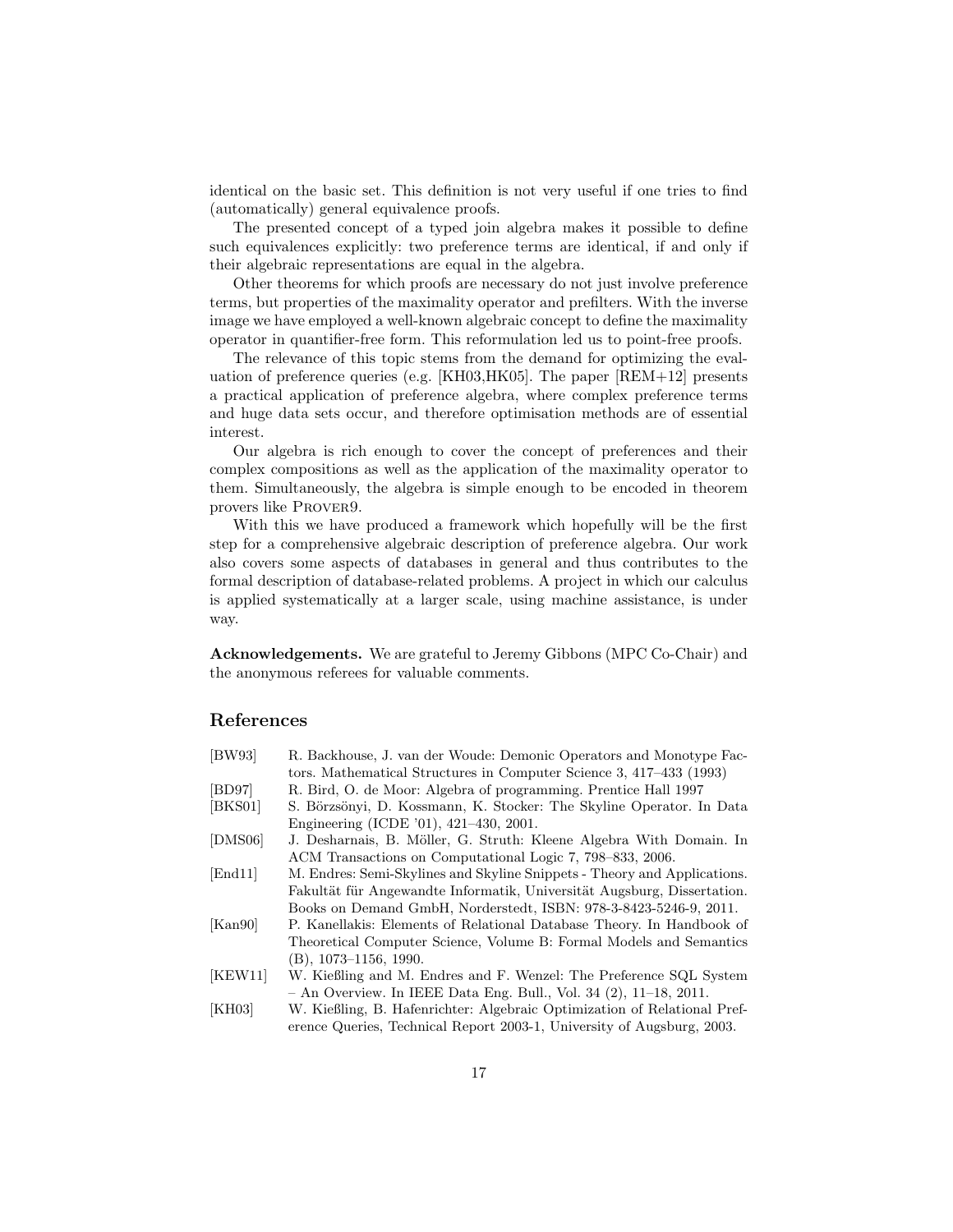identical on the basic set. This definition is not very useful if one tries to find (automatically) general equivalence proofs.

The presented concept of a typed join algebra makes it possible to define such equivalences explicitly: two preference terms are identical, if and only if their algebraic representations are equal in the algebra.

Other theorems for which proofs are necessary do not just involve preference terms, but properties of the maximality operator and prefilters. With the inverse image we have employed a well-known algebraic concept to define the maximality operator in quantifier-free form. This reformulation led us to point-free proofs.

The relevance of this topic stems from the demand for optimizing the evaluation of preference queries (e.g. [KH03,HK05]. The paper [REM+12] presents a practical application of preference algebra, where complex preference terms and huge data sets occur, and therefore optimisation methods are of essential interest.

Our algebra is rich enough to cover the concept of preferences and their complex compositions as well as the application of the maximality operator to them. Simultaneously, the algebra is simple enough to be encoded in theorem provers like Prover9.

With this we have produced a framework which hopefully will be the first step for a comprehensive algebraic description of preference algebra. Our work also covers some aspects of databases in general and thus contributes to the formal description of database-related problems. A project in which our calculus is applied systematically at a larger scale, using machine assistance, is under way.

Acknowledgements. We are grateful to Jeremy Gibbons (MPC Co-Chair) and the anonymous referees for valuable comments.

## References

| [BW93]  | R. Backhouse, J. van der Woude: Demonic Operators and Monotype Fac-      |
|---------|--------------------------------------------------------------------------|
|         | tors. Mathematical Structures in Computer Science 3, 417–433 (1993)      |
| [BD97]  | R. Bird, O. de Moor: Algebra of programming. Prentice Hall 1997          |
| [BKS01] | S. Börzsönyi, D. Kossmann, K. Stocker: The Skyline Operator. In Data     |
|         | Engineering (ICDE '01), 421-430, 2001.                                   |
| [DMS06] | J. Desharnais, B. Möller, G. Struth: Kleene Algebra With Domain. In      |
|         | ACM Transactions on Computational Logic 7, 798-833, 2006.                |
| [End11] | M. Endres: Semi-Skylines and Skyline Snippets - Theory and Applications. |
|         | Fakultät für Angewandte Informatik, Universität Augsburg, Dissertation.  |
|         | Books on Demand GmbH, Norderstedt, ISBN: 978-3-8423-5246-9, 2011.        |
| [Kan90] | P. Kanellakis: Elements of Relational Database Theory. In Handbook of    |
|         | Theoretical Computer Science, Volume B: Formal Models and Semantics      |
|         | $(B)$ , 1073–1156, 1990.                                                 |
| KEW11   | W. Kießling and M. Endres and F. Wenzel: The Preference SQL System       |
|         | $-$ An Overview. In IEEE Data Eng. Bull., Vol. 34 (2), 11–18, 2011.      |
| [KH03]  | W. Kießling, B. Hafenrichter: Algebraic Optimization of Relational Pref- |
|         | erence Queries, Technical Report 2003-1, University of Augsburg, 2003.   |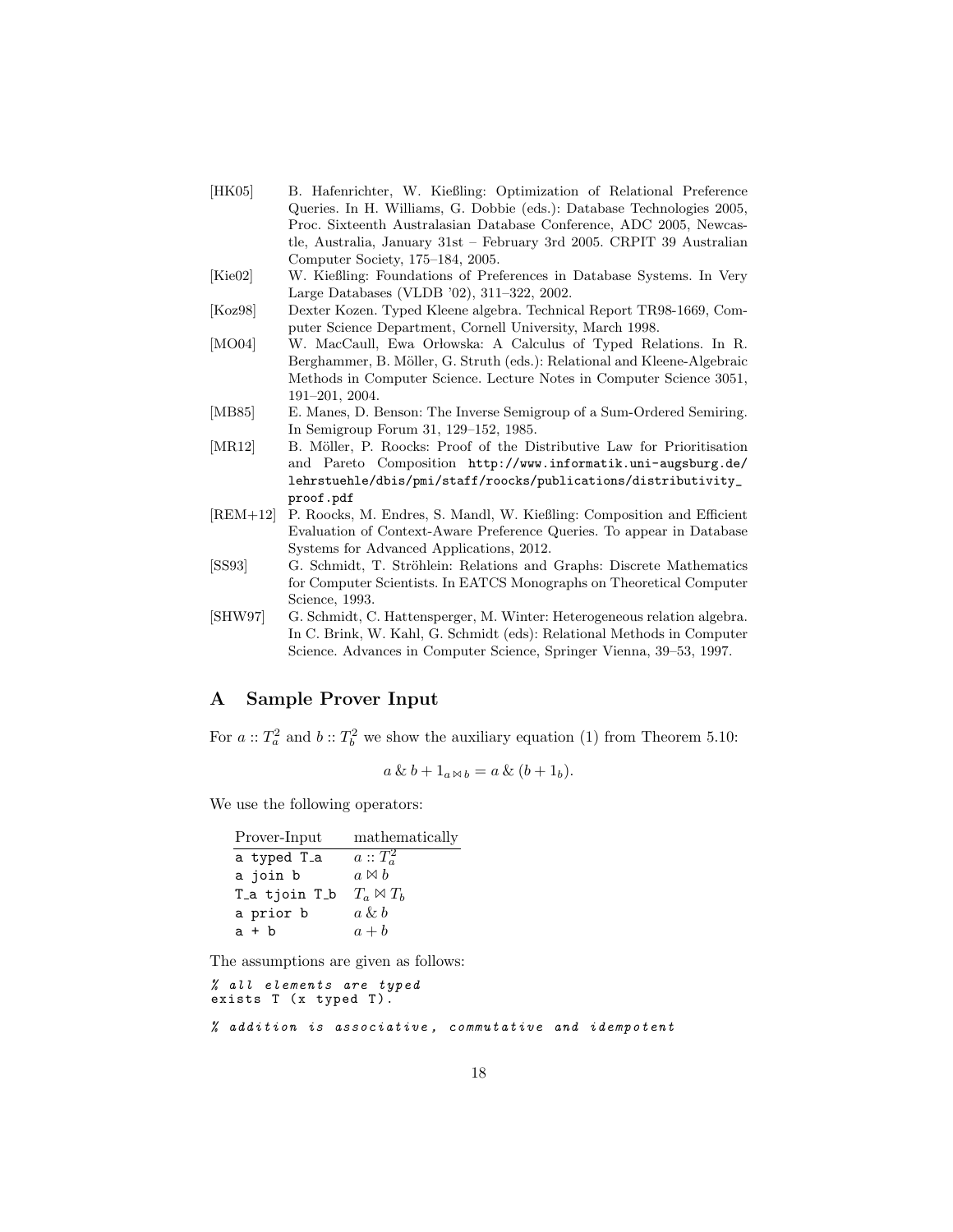- [HK05] B. Hafenrichter, W. Kießling: Optimization of Relational Preference Queries. In H. Williams, G. Dobbie (eds.): Database Technologies 2005, Proc. Sixteenth Australasian Database Conference, ADC 2005, Newcastle, Australia, January 31st – February 3rd 2005. CRPIT 39 Australian Computer Society, 175–184, 2005.
- [Kie02] W. Kießling: Foundations of Preferences in Database Systems. In Very Large Databases (VLDB '02), 311–322, 2002.
- [Koz98] Dexter Kozen. Typed Kleene algebra. Technical Report TR98-1669, Computer Science Department, Cornell University, March 1998.
- [MO04] W. MacCaull, Ewa Orlowska: A Calculus of Typed Relations. In R. Berghammer, B. Möller, G. Struth (eds.): Relational and Kleene-Algebraic Methods in Computer Science. Lecture Notes in Computer Science 3051, 191–201, 2004.
- [MB85] E. Manes, D. Benson: The Inverse Semigroup of a Sum-Ordered Semiring. In Semigroup Forum 31, 129–152, 1985.
- [MR12] B. Möller, P. Roocks: Proof of the Distributive Law for Prioritisation and Pareto Composition http://www.informatik.uni-augsburg.de/ lehrstuehle/dbis/pmi/staff/roocks/publications/distributivity\_ proof.pdf
- [REM+12] P. Roocks, M. Endres, S. Mandl, W. Kießling: Composition and Efficient Evaluation of Context-Aware Preference Queries. To appear in Database Systems for Advanced Applications, 2012.
- [SS93] G. Schmidt, T. Ströhlein: Relations and Graphs: Discrete Mathematics for Computer Scientists. In EATCS Monographs on Theoretical Computer Science, 1993.
- [SHW97] G. Schmidt, C. Hattensperger, M. Winter: Heterogeneous relation algebra. In C. Brink, W. Kahl, G. Schmidt (eds): Relational Methods in Computer Science. Advances in Computer Science, Springer Vienna, 39–53, 1997.

## A Sample Prover Input

For  $a :: T_a^2$  and  $b :: T_b^2$  we show the auxiliary equation (1) from Theorem 5.10:

$$
a \& b + 1_{a \bowtie b} = a \& (b + 1_b).
$$

We use the following operators:

Prover-Input mathematically a typed T\_a 2 a a join b  $a \bowtie b$ T<sub>a</sub> tjoin T<sub>b</sub>  $T_a \bowtie T_b$ a prior b  $a \& b$  $a + b$   $a + b$ 

The assumptions are given as follows:

```
% all elements are typed
exists T (x typed T).
% addition is associative , commutative and idempotent
```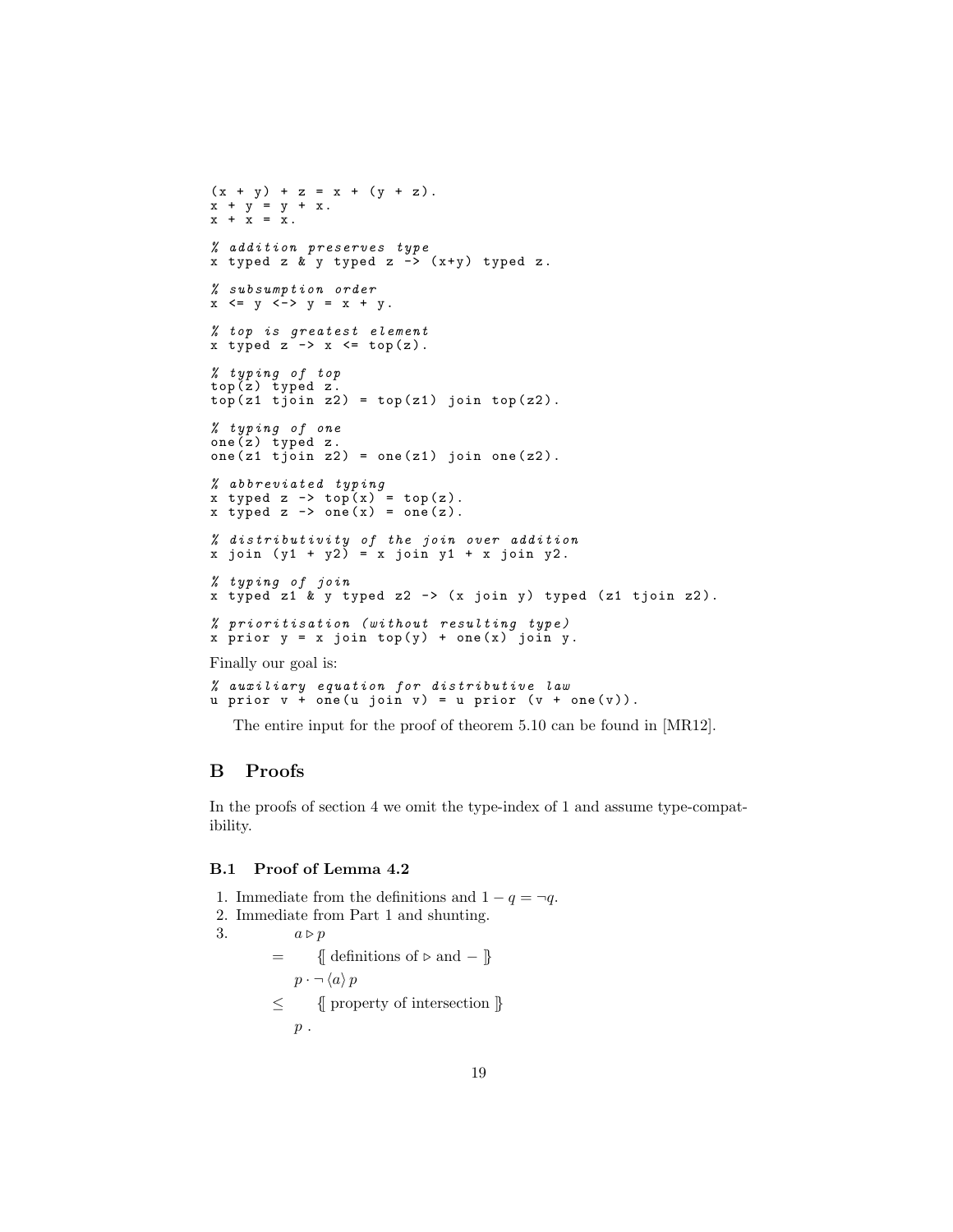```
(x + y) + z = x + (y + z).x + y = y + x.
x + x = x.
% addition preserves type
x typed z \& y typed z -> (x+y) typed z.
% subsumption order
x \leq y \leq y y = x + y.
% top is greatest element
x typed z -> x <= top(z).
% typing of top
top(z) typed z.
top(z1 \text{ tjoin } z2) = top(z1) \text{ join } top(z2).
% typing of one
one(z) typed z.
one(z1 \t{tjoin z2}) = one(z1) \t{join one(z2)}.% abbreviated typing
x typed z \rightarrow top(x) = top(z).
x typed z \rightarrow one (x) = one (z).
% distributivity of the join over addition
x join ( y1 + y2 ) = x join y1 + x join y2 .
% typing of join
x typed z1 & y typed z2 -> (x join y) typed (z1 tjoin z2).
% prioritisation ( without resulting type )
x prior y = x join top (y) + one (x) join y.
Finally our goal is:
% auxiliary equation for distributive law
u prior v + one(u) join v) = u prior (v + one(v)).
```
The entire input for the proof of theorem 5.10 can be found in [MR12].

## B Proofs

In the proofs of section 4 we omit the type-index of 1 and assume type-compatibility.

## B.1 Proof of Lemma 4.2

1. Immediate from the definitions and  $1 - q = \neg q$ . 2. Immediate from Part 1 and shunting. 3.  $a \triangleright p$  $=$  {[ definitions of  $\triangleright$  and  $-$  ]}  $p \cdot \neg \langle a \rangle p$  $\leq$  {[ property of intersection ]}  $p$ .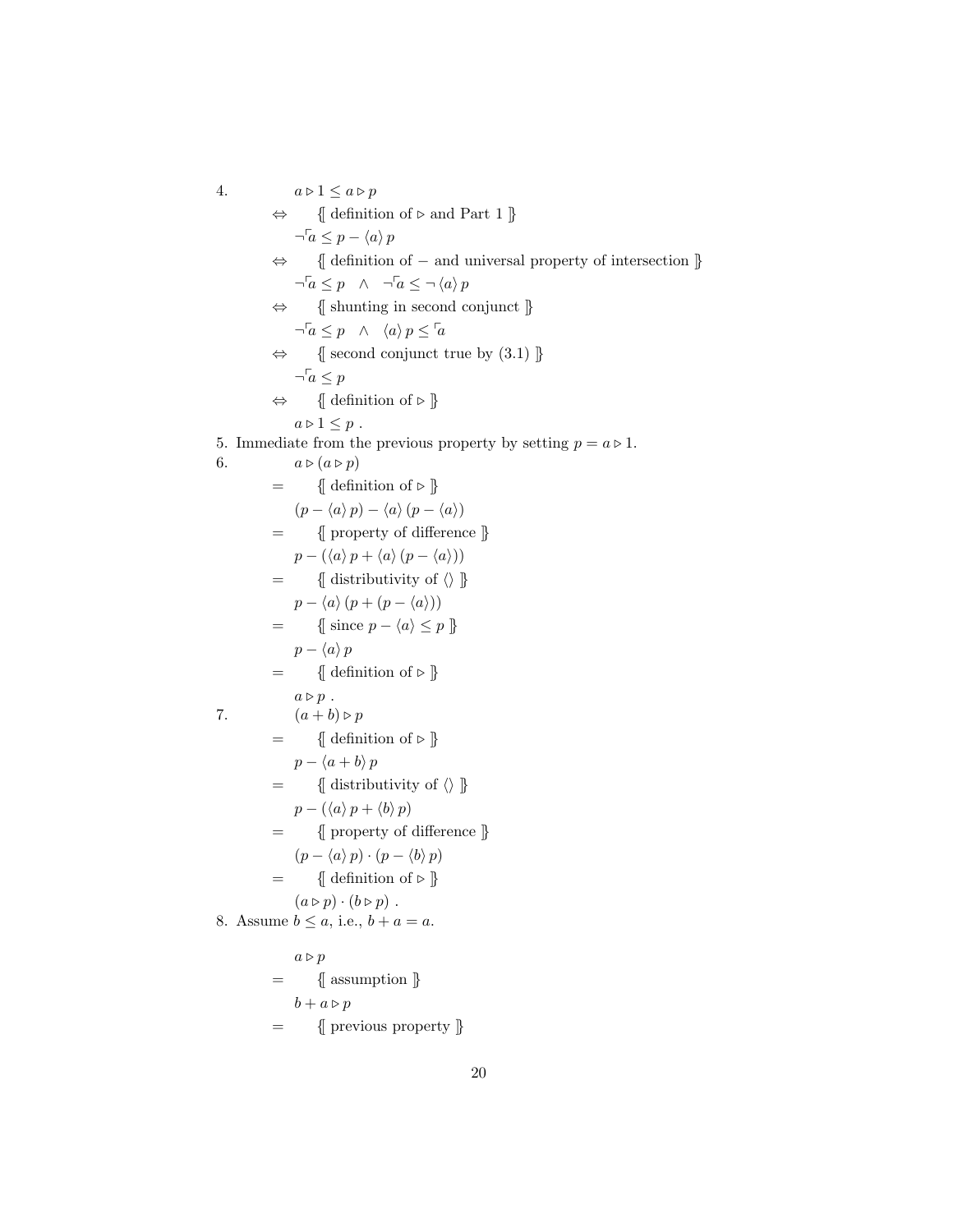4.  $a \triangleright 1 \leq a \triangleright p$  $\Leftrightarrow$  { definition of  $\triangleright$  and Part 1 }}  $\neg^{\sqcap} a \leq p - \langle a \rangle p$ ⇔ {[ definition of − and universal property of intersection ]}  $\neg^{\sqcap} a \leq p \quad \wedge \quad \neg^{\sqcap} a \leq \neg \langle a \rangle p$ ⇔ {[ shunting in second conjunct ]}  $\neg \ulcorner a \leq p \quad \wedge \quad \langle a \rangle p \leq \ulcorner a$  $\Leftrightarrow$  {[ second conjunct true by (3.1) }}  $\neg^{\mathsf{r}} a \leq p$  $\Leftrightarrow$  {| definition of  $\triangleright$  }  $a \triangleright 1 \leq p$ . 5. Immediate from the previous property by setting  $p = a \triangleright 1$ . 6.  $a \triangleright (a \triangleright p)$  $=$  { $\{$  definition of  $\triangleright$  }  $(p - \langle a \rangle p) - \langle a \rangle (p - \langle a \rangle)$  $=$  {[ property of difference  $\uparrow$  $p - (\langle a \rangle p + \langle a \rangle (p - \langle a \rangle))$  $= \{$  distributivity of  $\langle \rangle$  ]}  $p - \langle a \rangle (p + (p - \langle a \rangle))$  $=$  {[ since  $p - \langle a \rangle \leq p$  }}  $p - \langle a \rangle p$  $=$  {{definition of  $\triangleright$  }}  $a \triangleright p$ . 7.  $(a + b) \triangleright p$  $=$  { $\{$  definition of  $\triangleright$  }  $p - \langle a + b \rangle p$  $=$  {{distributivity of  $\langle \rangle$  }}  $p - (\langle a \rangle p + \langle b \rangle p)$  $=$  {[ property of difference  $\uparrow$  $(p - \langle a \rangle p) \cdot (p - \langle b \rangle p)$  $=$  { $\{$  definition of  $\triangleright$   $\}$  $(a \triangleright p) \cdot (b \triangleright p)$ . 8. Assume  $b \leq a$ , i.e.,  $b + a = a$ .  $a \triangleright p$  $=$  {[ assumption ]}  $b + a \triangleright p$ = {[ previous property ]}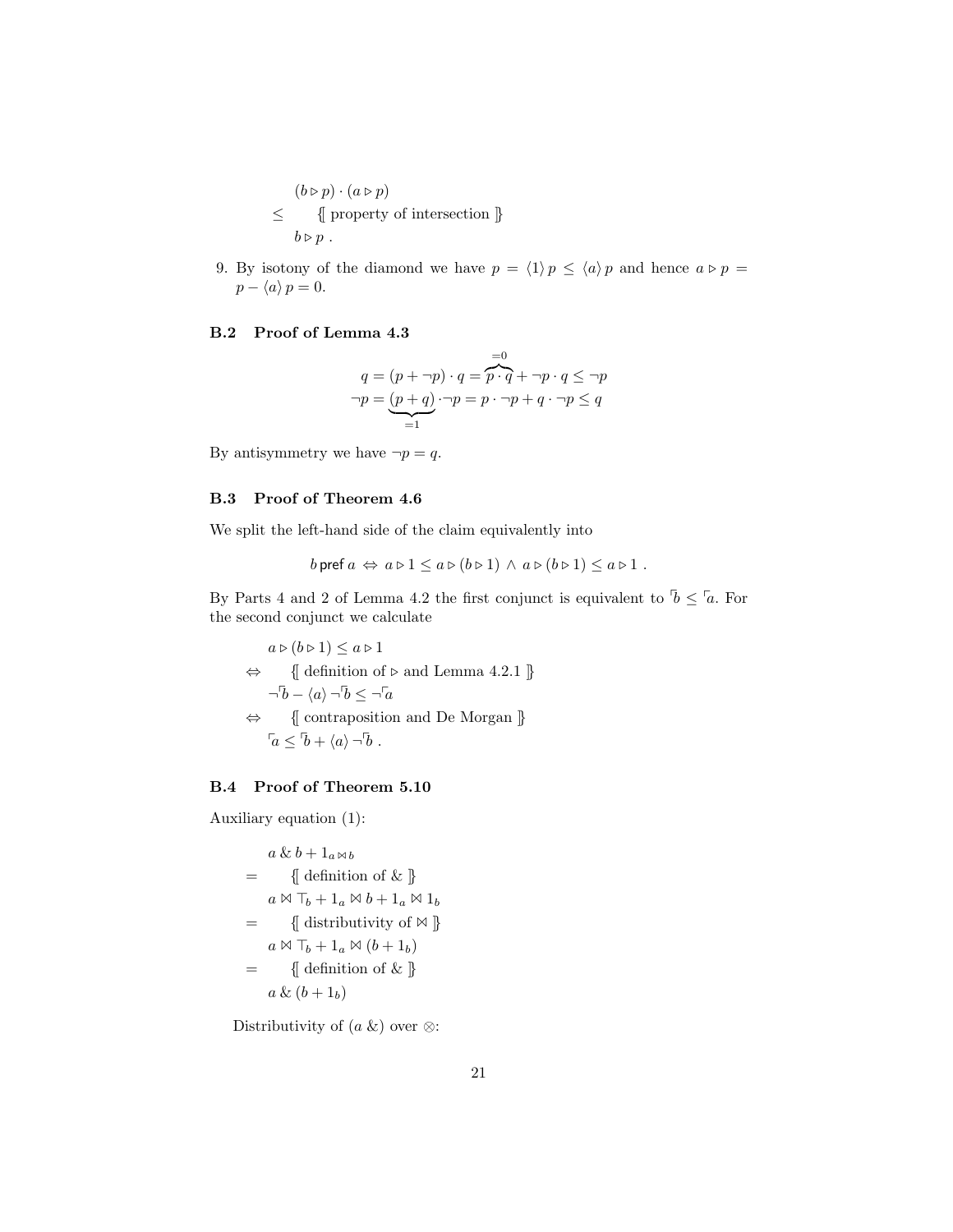$$
(b \triangleright p) \cdot (a \triangleright p)
$$
  
\$\leq\$ \{ property of intersection \$\} \$  

$$
b \triangleright p .
$$

9. By isotony of the diamond we have  $p = \langle 1 \rangle p \le \langle a \rangle p$  and hence  $a \triangleright p =$  $p - \langle a \rangle p = 0.$ 

## B.2 Proof of Lemma 4.3

$$
q = (p + \neg p) \cdot q = \overbrace{p \cdot q}^{=0} + \neg p \cdot q \leq \neg p
$$

$$
\neg p = \underbrace{(p + q)}_{=1} \cdot \neg p = p \cdot \neg p + q \cdot \neg p \leq q
$$

By antisymmetry we have  $\neg p = q$ .

## B.3 Proof of Theorem 4.6

We split the left-hand side of the claim equivalently into

$$
b \text{ pref } a \Leftrightarrow a \triangleright 1 \le a \triangleright (b \triangleright 1) \land a \triangleright (b \triangleright 1) \le a \triangleright 1 .
$$

By Parts 4 and 2 of Lemma 4.2 the first conjunct is equivalent to  $\overline{b} \leq \overline{a}$ . For the second conjunct we calculate

$$
a \triangleright (b \triangleright 1) \le a \triangleright 1
$$
  
\n
$$
\Leftrightarrow \{ \text{definition of } \triangleright \text{ and Lemma 4.2.1 } \}
$$
  
\n
$$
\neg \overline{b} - \langle a \rangle \neg \overline{b} \le \neg \overline{a}
$$
  
\n
$$
\Leftrightarrow \{ \text{contraposition and De Morgan } \}
$$
  
\n
$$
\overline{a} \le \overline{b} + \langle a \rangle \neg \overline{b}.
$$

## B.4 Proof of Theorem 5.10

Auxiliary equation (1):

$$
a \& b + 1_{a \bowtie b}
$$
\n
$$
= \{ \text{definition of } \& \}
$$
\n
$$
a \bowtie T_b + 1_a \bowtie b + 1_a \bowtie 1_b
$$
\n
$$
= \{ \text{distributivity of } \bowtie \}
$$
\n
$$
a \bowtie T_b + 1_a \bowtie (b + 1_b)
$$
\n
$$
= \{ \text{definition of } \& \}
$$
\n
$$
a \& (b + 1_b)
$$

Distributivity of  $(a \&)$  over  $\otimes$ :